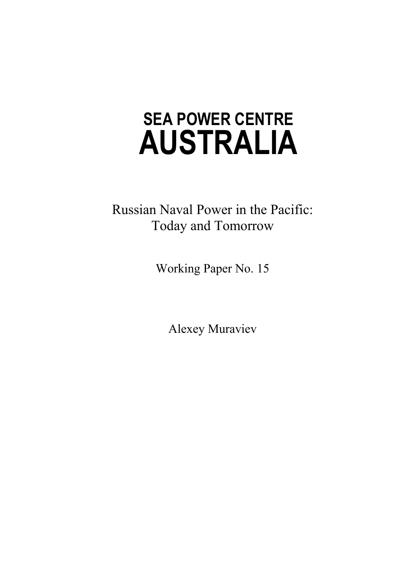# **AUSTRALIA SEA POWER CENTRE**

Russian Naval Power in the Pacific: Today and Tomorrow

Working Paper No. 15

Alexey Muraviev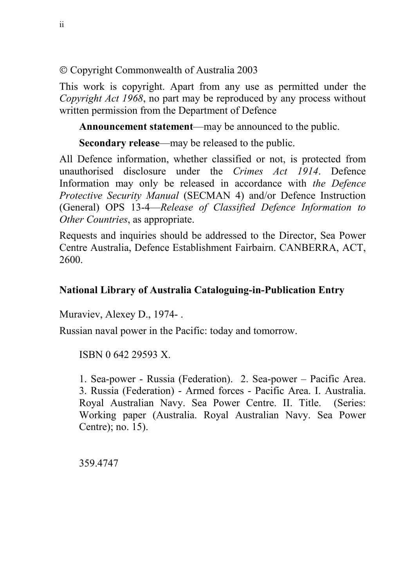Copyright Commonwealth of Australia 2003

This work is copyright. Apart from any use as permitted under the *Copyright Act 1968*, no part may be reproduced by any process without written permission from the Department of Defence

**Announcement statement**—may be announced to the public.

**Secondary release**—may be released to the public.

All Defence information, whether classified or not, is protected from unauthorised disclosure under the *Crimes Act 1914*. Defence Information may only be released in accordance with *the Defence Protective Security Manual* (SECMAN 4) and/or Defence Instruction (General) OPS 13-4—*Release of Classified Defence Information to Other Countries*, as appropriate.

Requests and inquiries should be addressed to the Director, Sea Power Centre Australia, Defence Establishment Fairbairn. CANBERRA, ACT, 2600.

#### **National Library of Australia Cataloguing-in-Publication Entry**

Muraviev, Alexey D., 1974- .

Russian naval power in the Pacific: today and tomorrow.

ISBN 0 642 29593 X.

1. Sea-power - Russia (Federation). 2. Sea-power – Pacific Area. 3. Russia (Federation) - Armed forces - Pacific Area. I. Australia. Royal Australian Navy. Sea Power Centre. II. Title. (Series: Working paper (Australia. Royal Australian Navy. Sea Power Centre); no. 15).

359.4747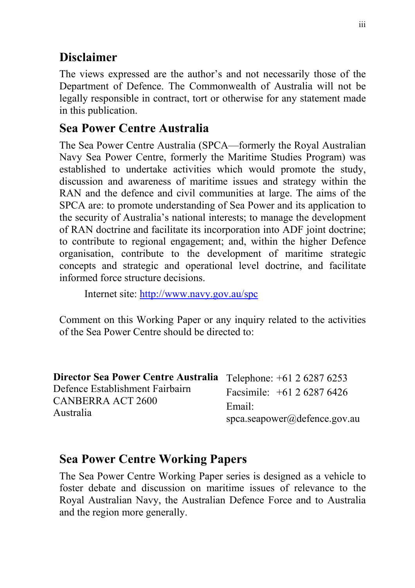# **Disclaimer**

The views expressed are the author's and not necessarily those of the Department of Defence. The Commonwealth of Australia will not be legally responsible in contract, tort or otherwise for any statement made in this publication.

## **Sea Power Centre Australia**

The Sea Power Centre Australia (SPCA—formerly the Royal Australian Navy Sea Power Centre, formerly the Maritime Studies Program) was established to undertake activities which would promote the study, discussion and awareness of maritime issues and strategy within the RAN and the defence and civil communities at large. The aims of the SPCA are: to promote understanding of Sea Power and its application to the security of Australia's national interests; to manage the development of RAN doctrine and facilitate its incorporation into ADF joint doctrine; to contribute to regional engagement; and, within the higher Defence organisation, contribute to the development of maritime strategic concepts and strategic and operational level doctrine, and facilitate informed force structure decisions.

Internet site: http://www.navy.gov.au/spc

Comment on this Working Paper or any inquiry related to the activities of the Sea Power Centre should be directed to:

| Director Sea Power Centre Australia Telephone: +61 2 6287 6253 |                                  |
|----------------------------------------------------------------|----------------------------------|
| Defence Establishment Fairbairn                                | Facsimile: $+61262876426$        |
| CANBERRA ACT 2600                                              | Email:                           |
| Australia                                                      | $space$ .seapower@defence.gov.au |

## **Sea Power Centre Working Papers**

The Sea Power Centre Working Paper series is designed as a vehicle to foster debate and discussion on maritime issues of relevance to the Royal Australian Navy, the Australian Defence Force and to Australia and the region more generally.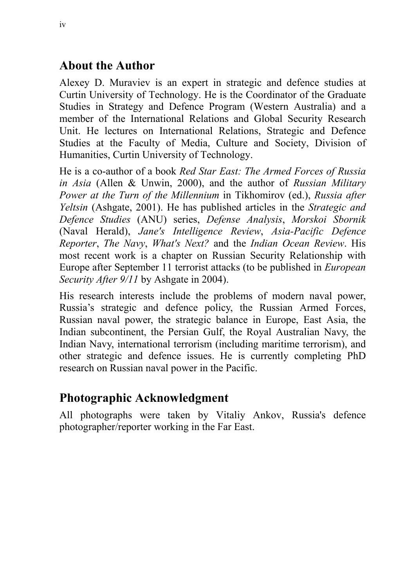## **About the Author**

Alexey D. Muraviev is an expert in strategic and defence studies at Curtin University of Technology. He is the Coordinator of the Graduate Studies in Strategy and Defence Program (Western Australia) and a member of the International Relations and Global Security Research Unit. He lectures on International Relations, Strategic and Defence Studies at the Faculty of Media, Culture and Society, Division of Humanities, Curtin University of Technology.

He is a co-author of a book *Red Star East: The Armed Forces of Russia in Asia* (Allen & Unwin, 2000), and the author of *Russian Military Power at the Turn of the Millennium* in Tikhomirov (ed.), *Russia after Yeltsin* (Ashgate, 2001). He has published articles in the *Strategic and Defence Studies* (ANU) series, *Defense Analysis*, *Morskoi Sbornik* (Naval Herald), *Jane's Intelligence Review*, *Asia-Pacific Defence Reporter*, *The Navy*, *What's Next?* and the *Indian Ocean Review*. His most recent work is a chapter on Russian Security Relationship with Europe after September 11 terrorist attacks (to be published in *European Security After 9/11* by Ashgate in 2004).

His research interests include the problems of modern naval power, Russia's strategic and defence policy, the Russian Armed Forces, Russian naval power, the strategic balance in Europe, East Asia, the Indian subcontinent, the Persian Gulf, the Royal Australian Navy, the Indian Navy, international terrorism (including maritime terrorism), and other strategic and defence issues. He is currently completing PhD research on Russian naval power in the Pacific.

## **Photographic Acknowledgment**

All photographs were taken by Vitaliy Ankov, Russia's defence photographer/reporter working in the Far East.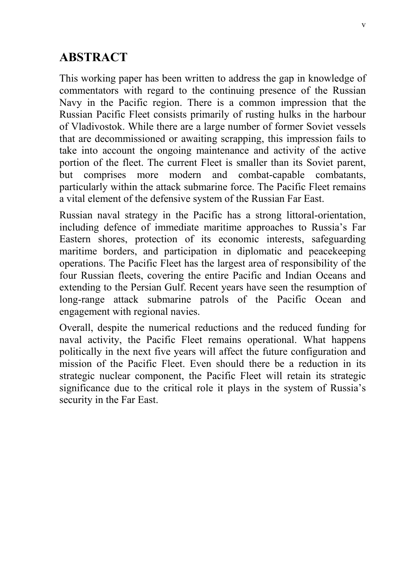## **ABSTRACT**

This working paper has been written to address the gap in knowledge of commentators with regard to the continuing presence of the Russian Navy in the Pacific region. There is a common impression that the Russian Pacific Fleet consists primarily of rusting hulks in the harbour of Vladivostok. While there are a large number of former Soviet vessels that are decommissioned or awaiting scrapping, this impression fails to take into account the ongoing maintenance and activity of the active portion of the fleet. The current Fleet is smaller than its Soviet parent, but comprises more modern and combat-capable combatants, particularly within the attack submarine force. The Pacific Fleet remains a vital element of the defensive system of the Russian Far East.

Russian naval strategy in the Pacific has a strong littoral-orientation, including defence of immediate maritime approaches to Russia's Far Eastern shores, protection of its economic interests, safeguarding maritime borders, and participation in diplomatic and peacekeeping operations. The Pacific Fleet has the largest area of responsibility of the four Russian fleets, covering the entire Pacific and Indian Oceans and extending to the Persian Gulf. Recent years have seen the resumption of long-range attack submarine patrols of the Pacific Ocean and engagement with regional navies.

Overall, despite the numerical reductions and the reduced funding for naval activity, the Pacific Fleet remains operational. What happens politically in the next five years will affect the future configuration and mission of the Pacific Fleet. Even should there be a reduction in its strategic nuclear component, the Pacific Fleet will retain its strategic significance due to the critical role it plays in the system of Russia's security in the Far East.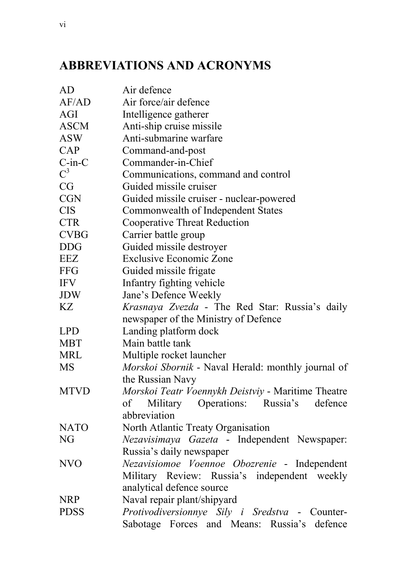# **ABBREVIATIONS AND ACRONYMS**

| AD           | Air defence                                               |  |  |
|--------------|-----------------------------------------------------------|--|--|
| AF/AD        | Air force/air defence                                     |  |  |
| AGI          | Intelligence gatherer                                     |  |  |
| <b>ASCM</b>  | Anti-ship cruise missile                                  |  |  |
| <b>ASW</b>   | Anti-submarine warfare                                    |  |  |
| CAP          | Command-and-post                                          |  |  |
| $C$ -in- $C$ | Commander-in-Chief                                        |  |  |
| $C^3$        | Communications, command and control                       |  |  |
| CG           | Guided missile cruiser                                    |  |  |
| <b>CGN</b>   | Guided missile cruiser - nuclear-powered                  |  |  |
| <b>CIS</b>   | <b>Commonwealth of Independent States</b>                 |  |  |
| <b>CTR</b>   | <b>Cooperative Threat Reduction</b>                       |  |  |
| <b>CVBG</b>  | Carrier battle group                                      |  |  |
| <b>DDG</b>   | Guided missile destroyer                                  |  |  |
| EEZ          | <b>Exclusive Economic Zone</b>                            |  |  |
| <b>FFG</b>   | Guided missile frigate                                    |  |  |
| <b>IFV</b>   | Infantry fighting vehicle                                 |  |  |
| <b>JDW</b>   | Jane's Defence Weekly                                     |  |  |
| KZ           | <i>Krasnaya Zvezda</i> - The Red Star: Russia's daily     |  |  |
|              | newspaper of the Ministry of Defence                      |  |  |
| <b>LPD</b>   | Landing platform dock                                     |  |  |
| <b>MBT</b>   | Main battle tank                                          |  |  |
| <b>MRL</b>   | Multiple rocket launcher                                  |  |  |
| MS           | Morskoi Sbornik - Naval Herald: monthly journal of        |  |  |
|              | the Russian Navy                                          |  |  |
| <b>MTVD</b>  | <i>Morskoi Teatr Voennykh Deistviy</i> - Maritime Theatre |  |  |
|              | of Military Operations: Russia's defence                  |  |  |
|              | abbreviation                                              |  |  |
| NATO         | North Atlantic Treaty Organisation                        |  |  |
| NG           | Nezavisimaya Gazeta - Independent Newspaper:              |  |  |
|              | Russia's daily newspaper                                  |  |  |
| <b>NVO</b>   | Nezavisiomoe Voennoe Obozrenie - Independent              |  |  |
|              | Military Review: Russia's independent weekly              |  |  |
|              | analytical defence source                                 |  |  |
| NRP          | Naval repair plant/shipyard                               |  |  |
| <b>PDSS</b>  | Protivodiversionnye Sily i Sredstva - Counter-            |  |  |
|              | Sabotage Forces and Means: Russia's defence               |  |  |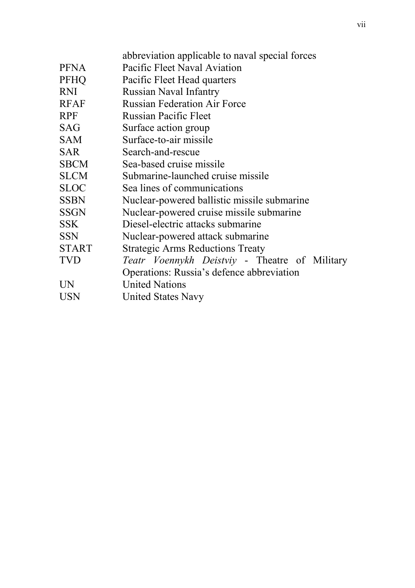|              | abbreviation applicable to naval special forces                                            |
|--------------|--------------------------------------------------------------------------------------------|
| <b>PFNA</b>  | Pacific Fleet Naval Aviation                                                               |
| <b>PFHQ</b>  | Pacific Fleet Head quarters                                                                |
| <b>RNI</b>   | <b>Russian Naval Infantry</b>                                                              |
| <b>RFAF</b>  | <b>Russian Federation Air Force</b>                                                        |
| <b>RPF</b>   | <b>Russian Pacific Fleet</b>                                                               |
| <b>SAG</b>   | Surface action group                                                                       |
| <b>SAM</b>   | Surface-to-air missile                                                                     |
| <b>SAR</b>   | Search-and-rescue                                                                          |
| <b>SBCM</b>  | Sea-based cruise missile                                                                   |
| <b>SLCM</b>  | Submarine-launched cruise missile                                                          |
| <b>SLOC</b>  | Sea lines of communications                                                                |
| <b>SSBN</b>  | Nuclear-powered ballistic missile submarine                                                |
| <b>SSGN</b>  | Nuclear-powered cruise missile submarine                                                   |
| <b>SSK</b>   | Diesel-electric attacks submarine                                                          |
| <b>SSN</b>   | Nuclear-powered attack submarine                                                           |
| <b>START</b> | <b>Strategic Arms Reductions Treaty</b>                                                    |
| <b>TVD</b>   | Teatr Voennykh Deistviy - Theatre of Military<br>Operations: Russia's defence abbreviation |
| UN           | <b>United Nations</b>                                                                      |
| USN          | <b>United States Navy</b>                                                                  |
|              |                                                                                            |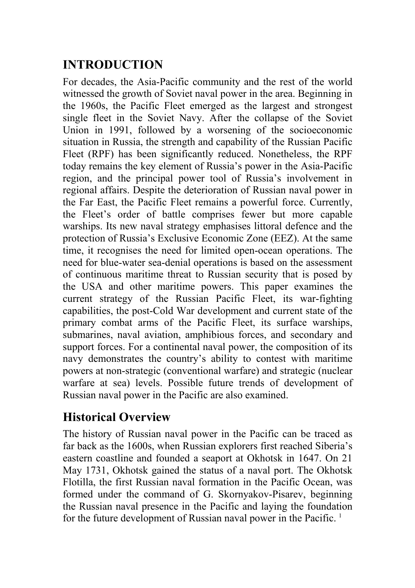# **INTRODUCTION**

For decades, the Asia-Pacific community and the rest of the world witnessed the growth of Soviet naval power in the area. Beginning in the 1960s, the Pacific Fleet emerged as the largest and strongest single fleet in the Soviet Navy. After the collapse of the Soviet Union in 1991, followed by a worsening of the socioeconomic situation in Russia, the strength and capability of the Russian Pacific Fleet (RPF) has been significantly reduced. Nonetheless, the RPF today remains the key element of Russia's power in the Asia-Pacific region, and the principal power tool of Russia's involvement in regional affairs. Despite the deterioration of Russian naval power in the Far East, the Pacific Fleet remains a powerful force. Currently, the Fleet's order of battle comprises fewer but more capable warships. Its new naval strategy emphasises littoral defence and the protection of Russia's Exclusive Economic Zone (EEZ). At the same time, it recognises the need for limited open-ocean operations. The need for blue-water sea-denial operations is based on the assessment of continuous maritime threat to Russian security that is posed by the USA and other maritime powers. This paper examines the current strategy of the Russian Pacific Fleet, its war-fighting capabilities, the post-Cold War development and current state of the primary combat arms of the Pacific Fleet, its surface warships, submarines, naval aviation, amphibious forces, and secondary and support forces. For a continental naval power, the composition of its navy demonstrates the country's ability to contest with maritime powers at non-strategic (conventional warfare) and strategic (nuclear warfare at sea) levels. Possible future trends of development of Russian naval power in the Pacific are also examined.

## **Historical Overview**

The history of Russian naval power in the Pacific can be traced as far back as the 1600s, when Russian explorers first reached Siberia's eastern coastline and founded a seaport at Okhotsk in 1647. On 21 May 1731, Okhotsk gained the status of a naval port. The Okhotsk Flotilla, the first Russian naval formation in the Pacific Ocean, was formed under the command of G. Skornyakov-Pisarev, beginning the Russian naval presence in the Pacific and laying the foundation for the future development of Russian naval power in the Pacific.<sup>1</sup>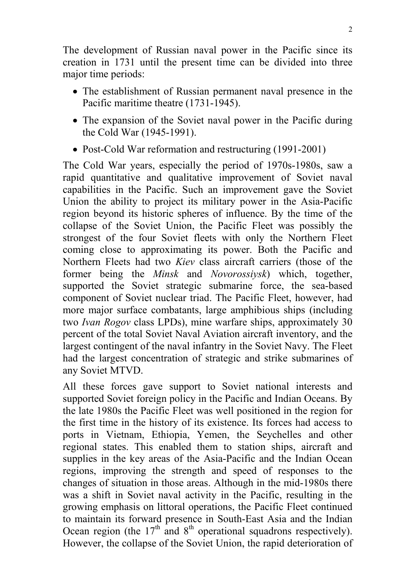The development of Russian naval power in the Pacific since its creation in 1731 until the present time can be divided into three major time periods:

- The establishment of Russian permanent naval presence in the Pacific maritime theatre (1731-1945).
- The expansion of the Soviet naval power in the Pacific during the Cold War (1945-1991).
- Post-Cold War reformation and restructuring (1991-2001)

The Cold War years, especially the period of 1970s-1980s, saw a rapid quantitative and qualitative improvement of Soviet naval capabilities in the Pacific. Such an improvement gave the Soviet Union the ability to project its military power in the Asia-Pacific region beyond its historic spheres of influence. By the time of the collapse of the Soviet Union, the Pacific Fleet was possibly the strongest of the four Soviet fleets with only the Northern Fleet coming close to approximating its power. Both the Pacific and Northern Fleets had two *Kiev* class aircraft carriers (those of the former being the *Minsk* and *Novorossiysk*) which, together, supported the Soviet strategic submarine force, the sea-based component of Soviet nuclear triad. The Pacific Fleet, however, had more major surface combatants, large amphibious ships (including two *Ivan Rogov* class LPDs), mine warfare ships, approximately 30 percent of the total Soviet Naval Aviation aircraft inventory, and the largest contingent of the naval infantry in the Soviet Navy. The Fleet had the largest concentration of strategic and strike submarines of any Soviet MTVD.

All these forces gave support to Soviet national interests and supported Soviet foreign policy in the Pacific and Indian Oceans. By the late 1980s the Pacific Fleet was well positioned in the region for the first time in the history of its existence. Its forces had access to ports in Vietnam, Ethiopia, Yemen, the Seychelles and other regional states. This enabled them to station ships, aircraft and supplies in the key areas of the Asia-Pacific and the Indian Ocean regions, improving the strength and speed of responses to the changes of situation in those areas. Although in the mid-1980s there was a shift in Soviet naval activity in the Pacific, resulting in the growing emphasis on littoral operations, the Pacific Fleet continued to maintain its forward presence in South-East Asia and the Indian Ocean region (the  $17<sup>th</sup>$  and  $8<sup>th</sup>$  operational squadrons respectively). However, the collapse of the Soviet Union, the rapid deterioration of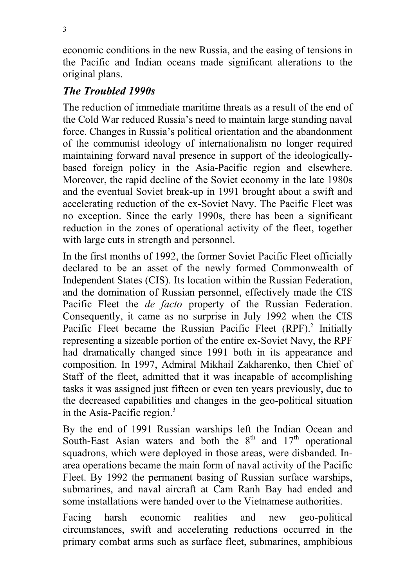economic conditions in the new Russia, and the easing of tensions in the Pacific and Indian oceans made significant alterations to the original plans.

### *The Troubled 1990s*

The reduction of immediate maritime threats as a result of the end of the Cold War reduced Russia's need to maintain large standing naval force. Changes in Russia's political orientation and the abandonment of the communist ideology of internationalism no longer required maintaining forward naval presence in support of the ideologicallybased foreign policy in the Asia-Pacific region and elsewhere. Moreover, the rapid decline of the Soviet economy in the late 1980s and the eventual Soviet break-up in 1991 brought about a swift and accelerating reduction of the ex-Soviet Navy. The Pacific Fleet was no exception. Since the early 1990s, there has been a significant reduction in the zones of operational activity of the fleet, together with large cuts in strength and personnel.

In the first months of 1992, the former Soviet Pacific Fleet officially declared to be an asset of the newly formed Commonwealth of Independent States (CIS). Its location within the Russian Federation, and the domination of Russian personnel, effectively made the CIS Pacific Fleet the *de facto* property of the Russian Federation. Consequently, it came as no surprise in July 1992 when the CIS Pacific Fleet became the Russian Pacific Fleet (RPF).<sup>2</sup> Initially representing a sizeable portion of the entire ex-Soviet Navy, the RPF had dramatically changed since 1991 both in its appearance and composition. In 1997, Admiral Mikhail Zakharenko, then Chief of Staff of the fleet, admitted that it was incapable of accomplishing tasks it was assigned just fifteen or even ten years previously, due to the decreased capabilities and changes in the geo-political situation in the Asia-Pacific region.<sup>3</sup>

By the end of 1991 Russian warships left the Indian Ocean and South-East Asian waters and both the  $8<sup>th</sup>$  and  $17<sup>th</sup>$  operational squadrons, which were deployed in those areas, were disbanded. Inarea operations became the main form of naval activity of the Pacific Fleet. By 1992 the permanent basing of Russian surface warships, submarines, and naval aircraft at Cam Ranh Bay had ended and some installations were handed over to the Vietnamese authorities.

Facing harsh economic realities and new geo-political circumstances, swift and accelerating reductions occurred in the primary combat arms such as surface fleet, submarines, amphibious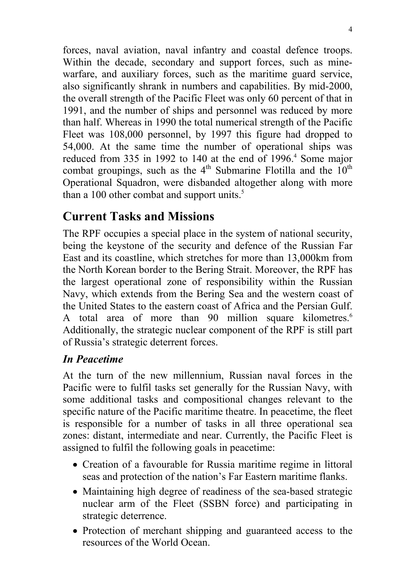forces, naval aviation, naval infantry and coastal defence troops. Within the decade, secondary and support forces, such as minewarfare, and auxiliary forces, such as the maritime guard service, also significantly shrank in numbers and capabilities. By mid-2000, the overall strength of the Pacific Fleet was only 60 percent of that in 1991, and the number of ships and personnel was reduced by more than half. Whereas in 1990 the total numerical strength of the Pacific Fleet was 108,000 personnel, by 1997 this figure had dropped to 54,000. At the same time the number of operational ships was reduced from 335 in 1992 to 140 at the end of 1996.<sup>4</sup> Some major combat groupings, such as the  $4<sup>th</sup>$  Submarine Flotilla and the  $10<sup>th</sup>$ Operational Squadron, were disbanded altogether along with more than a 100 other combat and support units. $5$ 

# **Current Tasks and Missions**

The RPF occupies a special place in the system of national security, being the keystone of the security and defence of the Russian Far East and its coastline, which stretches for more than 13,000km from the North Korean border to the Bering Strait. Moreover, the RPF has the largest operational zone of responsibility within the Russian Navy, which extends from the Bering Sea and the western coast of the United States to the eastern coast of Africa and the Persian Gulf. A total area of more than 90 million square kilometres.<sup>6</sup> Additionally, the strategic nuclear component of the RPF is still part of Russia's strategic deterrent forces.

#### *In Peacetime*

At the turn of the new millennium, Russian naval forces in the Pacific were to fulfil tasks set generally for the Russian Navy, with some additional tasks and compositional changes relevant to the specific nature of the Pacific maritime theatre. In peacetime, the fleet is responsible for a number of tasks in all three operational sea zones: distant, intermediate and near. Currently, the Pacific Fleet is assigned to fulfil the following goals in peacetime:

- Creation of a favourable for Russia maritime regime in littoral seas and protection of the nation's Far Eastern maritime flanks.
- Maintaining high degree of readiness of the sea-based strategic nuclear arm of the Fleet (SSBN force) and participating in strategic deterrence.
- Protection of merchant shipping and guaranteed access to the resources of the World Ocean.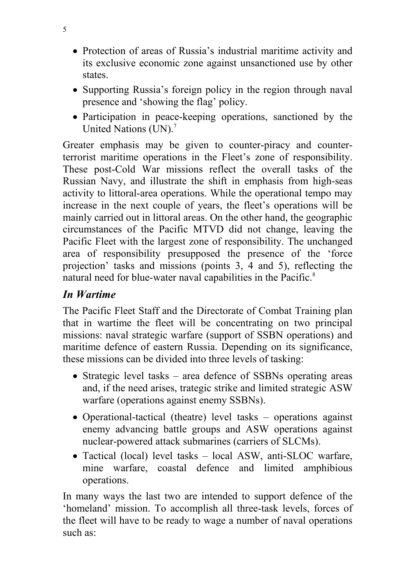- Protection of areas of Russia's industrial maritime activity and its exclusive economic zone against unsanctioned use by other states.
- Supporting Russia's foreign policy in the region through naval presence and 'showing the flag' policy.
- Participation in peace-keeping operations, sanctioned by the United Nations (UN).<sup>7</sup>

Greater emphasis may be given to counter-piracy and counterterrorist maritime operations in the Fleet's zone of responsibility. These post-Cold War missions reflect the overall tasks of the Russian Navy, and illustrate the shift in emphasis from high-seas activity to littoral-area operations. While the operational tempo may increase in the next couple of years, the fleet's operations will be mainly carried out in littoral areas. On the other hand, the geographic circumstances of the Pacific MTVD did not change, leaving the Pacific Fleet with the largest zone of responsibility. The unchanged area of responsibility presupposed the presence of the 'force projection' tasks and missions (points 3, 4 and 5), reflecting the natural need for blue-water naval capabilities in the Pacific.<sup>8</sup>

#### *In Wartime*

The Pacific Fleet Staff and the Directorate of Combat Training plan that in wartime the fleet will be concentrating on two principal missions: naval strategic warfare (support of SSBN operations) and maritime defence of eastern Russia. Depending on its significance, these missions can be divided into three levels of tasking:

- Strategic level tasks area defence of SSBNs operating areas and, if the need arises, trategic strike and limited strategic ASW warfare (operations against enemy SSBNs).
- Operational-tactical (theatre) level tasks operations against enemy advancing battle groups and ASW operations against nuclear-powered attack submarines (carriers of SLCMs).
- Tactical (local) level tasks local ASW, anti-SLOC warfare, mine warfare, coastal defence and limited amphibious operations.

In many ways the last two are intended to support defence of the 'homeland' mission. To accomplish all three-task levels, forces of the fleet will have to be ready to wage a number of naval operations such as: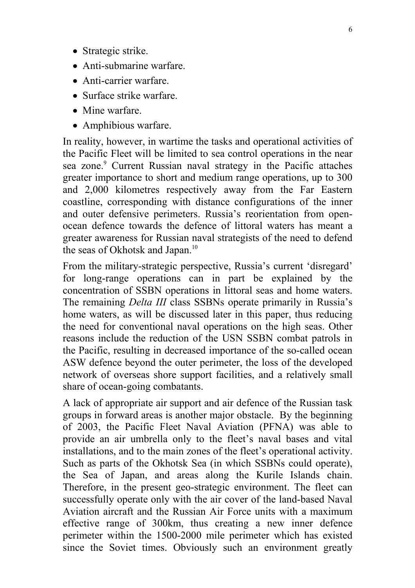- Strategic strike.
- Anti-submarine warfare.
- Anti-carrier warfare.
- Surface strike warfare.
- Mine warfare.
- Amphibious warfare.

In reality, however, in wartime the tasks and operational activities of the Pacific Fleet will be limited to sea control operations in the near sea zone.<sup>9</sup> Current Russian naval strategy in the Pacific attaches greater importance to short and medium range operations, up to 300 and 2,000 kilometres respectively away from the Far Eastern coastline, corresponding with distance configurations of the inner and outer defensive perimeters. Russia's reorientation from openocean defence towards the defence of littoral waters has meant a greater awareness for Russian naval strategists of the need to defend the seas of Okhotsk and Japan.<sup>10</sup>

From the military-strategic perspective, Russia's current 'disregard' for long-range operations can in part be explained by the concentration of SSBN operations in littoral seas and home waters. The remaining *Delta III* class SSBNs operate primarily in Russia's home waters, as will be discussed later in this paper, thus reducing the need for conventional naval operations on the high seas. Other reasons include the reduction of the USN SSBN combat patrols in the Pacific, resulting in decreased importance of the so-called ocean ASW defence beyond the outer perimeter, the loss of the developed network of overseas shore support facilities, and a relatively small share of ocean-going combatants.

A lack of appropriate air support and air defence of the Russian task groups in forward areas is another major obstacle. By the beginning of 2003, the Pacific Fleet Naval Aviation (PFNA) was able to provide an air umbrella only to the fleet's naval bases and vital installations, and to the main zones of the fleet's operational activity. Such as parts of the Okhotsk Sea (in which SSBNs could operate), the Sea of Japan, and areas along the Kurile Islands chain. Therefore, in the present geo-strategic environment. The fleet can successfully operate only with the air cover of the land-based Naval Aviation aircraft and the Russian Air Force units with a maximum effective range of 300km, thus creating a new inner defence perimeter within the 1500-2000 mile perimeter which has existed since the Soviet times. Obviously such an environment greatly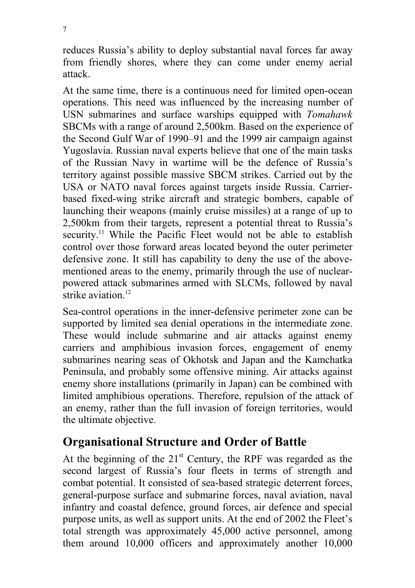reduces Russia's ability to deploy substantial naval forces far away from friendly shores, where they can come under enemy aerial attack.

At the same time, there is a continuous need for limited open-ocean operations. This need was influenced by the increasing number of USN submarines and surface warships equipped with *Tomahawk* SBCMs with a range of around 2,500km. Based on the experience of the Second Gulf War of 1990–91 and the 1999 air campaign against Yugoslavia. Russian naval experts believe that one of the main tasks of the Russian Navy in wartime will be the defence of Russia's territory against possible massive SBCM strikes. Carried out by the USA or NATO naval forces against targets inside Russia. Carrierbased fixed-wing strike aircraft and strategic bombers, capable of launching their weapons (mainly cruise missiles) at a range of up to 2,500km from their targets, represent a potential threat to Russia's security.<sup>11</sup> While the Pacific Fleet would not be able to establish control over those forward areas located beyond the outer perimeter defensive zone. It still has capability to deny the use of the abovementioned areas to the enemy, primarily through the use of nuclearpowered attack submarines armed with SLCMs, followed by naval strike aviation.<sup>12</sup>

Sea-control operations in the inner-defensive perimeter zone can be supported by limited sea denial operations in the intermediate zone. These would include submarine and air attacks against enemy carriers and amphibious invasion forces, engagement of enemy submarines nearing seas of Okhotsk and Japan and the Kamchatka Peninsula, and probably some offensive mining. Air attacks against enemy shore installations (primarily in Japan) can be combined with limited amphibious operations. Therefore, repulsion of the attack of an enemy, rather than the full invasion of foreign territories, would the ultimate objective.

## **Organisational Structure and Order of Battle**

At the beginning of the  $21<sup>st</sup>$  Century, the RPF was regarded as the second largest of Russia's four fleets in terms of strength and combat potential. It consisted of sea-based strategic deterrent forces, general-purpose surface and submarine forces, naval aviation, naval infantry and coastal defence, ground forces, air defence and special purpose units, as well as support units. At the end of 2002 the Fleet's total strength was approximately 45,000 active personnel, among them around 10,000 officers and approximately another 10,000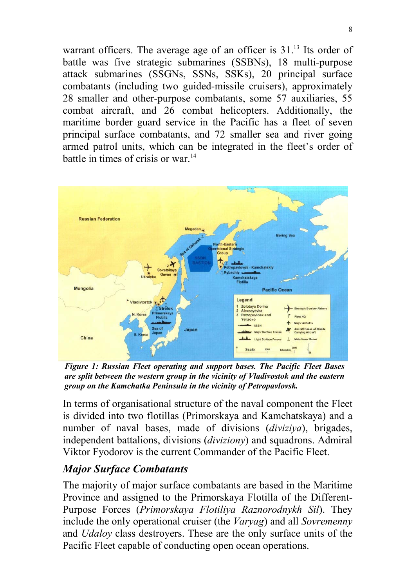warrant officers. The average age of an officer is 31.<sup>13</sup> Its order of battle was five strategic submarines (SSBNs), 18 multi-purpose attack submarines (SSGNs, SSNs, SSKs), 20 principal surface combatants (including two guided-missile cruisers), approximately 28 smaller and other-purpose combatants, some 57 auxiliaries, 55 combat aircraft, and 26 combat helicopters. Additionally, the maritime border guard service in the Pacific has a fleet of seven principal surface combatants, and 72 smaller sea and river going armed patrol units, which can be integrated in the fleet's order of battle in times of crisis or war.<sup>14</sup>



*Figure 1: Russian Fleet operating and support bases. The Pacific Fleet Bases are split between the western group in the vicinity of Vladivostok and the eastern group on the Kamchatka Peninsula in the vicinity of Petropavlovsk.*

In terms of organisational structure of the naval component the Fleet is divided into two flotillas (Primorskaya and Kamchatskaya) and a number of naval bases, made of divisions (*diviziya*), brigades, independent battalions, divisions (*diviziony*) and squadrons. Admiral Viktor Fyodorov is the current Commander of the Pacific Fleet.

#### *Major Surface Combatants*

The majority of major surface combatants are based in the Maritime Province and assigned to the Primorskaya Flotilla of the Different-Purpose Forces (*Primorskaya Flotiliya Raznorodnykh Sil*). They include the only operational cruiser (the *Varyag*) and all *Sovremenny* and *Udaloy* class destroyers. These are the only surface units of the Pacific Fleet capable of conducting open ocean operations.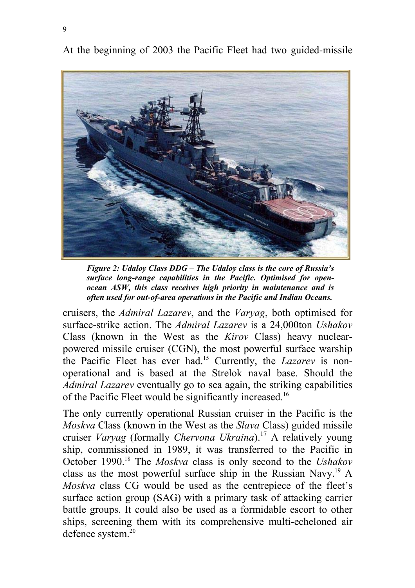At the beginning of 2003 the Pacific Fleet had two guided-missile



*Figure 2: Udaloy Class DDG – The Udaloy class is the core of Russia's surface long-range capabilities in the Pacific. Optimised for openocean ASW, this class receives high priority in maintenance and is often used for out-of-area operations in the Pacific and Indian Oceans.*

cruisers, the *Admiral Lazarev*, and the *Varyag*, both optimised for surface-strike action. The *Admiral Lazarev* is a 24,000ton *Ushakov* Class (known in the West as the *Kirov* Class) heavy nuclearpowered missile cruiser (CGN), the most powerful surface warship the Pacific Fleet has ever had.15 Currently, the *Lazarev* is nonoperational and is based at the Strelok naval base. Should the *Admiral Lazarev* eventually go to sea again, the striking capabilities of the Pacific Fleet would be significantly increased.16

The only currently operational Russian cruiser in the Pacific is the *Moskva* Class (known in the West as the *Slava* Class) guided missile cruiser *Varyag* (formally *Chervona Ukraina*).17 A relatively young ship, commissioned in 1989, it was transferred to the Pacific in October 1990.18 The *Moskva* class is only second to the *Ushakov* class as the most powerful surface ship in the Russian Navy.<sup>19</sup> A *Moskva* class CG would be used as the centrepiece of the fleet's surface action group (SAG) with a primary task of attacking carrier battle groups. It could also be used as a formidable escort to other ships, screening them with its comprehensive multi-echeloned air defence system.<sup>20</sup>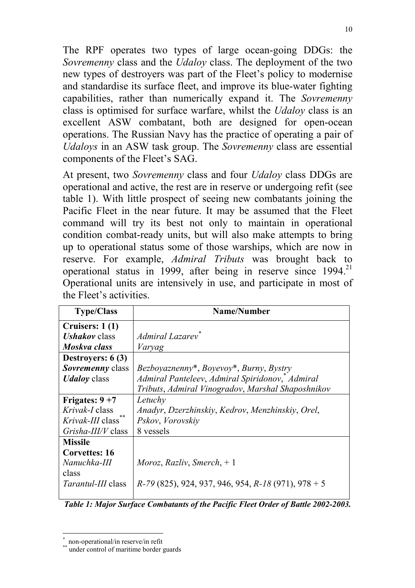The RPF operates two types of large ocean-going DDGs: the *Sovremenny* class and the *Udaloy* class. The deployment of the two new types of destroyers was part of the Fleet's policy to modernise and standardise its surface fleet, and improve its blue-water fighting capabilities, rather than numerically expand it. The *Sovremenny* class is optimised for surface warfare, whilst the *Udaloy* class is an excellent ASW combatant, both are designed for open-ocean operations. The Russian Navy has the practice of operating a pair of *Udaloys* in an ASW task group. The *Sovremenny* class are essential components of the Fleet's SAG.

At present, two *Sovremenny* class and four *Udaloy* class DDGs are operational and active, the rest are in reserve or undergoing refit (see table 1). With little prospect of seeing new combatants joining the Pacific Fleet in the near future. It may be assumed that the Fleet command will try its best not only to maintain in operational condition combat-ready units, but will also make attempts to bring up to operational status some of those warships, which are now in reserve. For example, *Admiral Tributs* was brought back to operational status in 1999, after being in reserve since  $1994$ <sup>21</sup> Operational units are intensively in use, and participate in most of the Fleet's activities.

| <b>Type/Class</b>           | Name/Number                                             |  |  |
|-----------------------------|---------------------------------------------------------|--|--|
| Cruisers: 1(1)              |                                                         |  |  |
| <b><i>Ushakov</i></b> class | Admiral Lazarev <sup>*</sup>                            |  |  |
| Moskva class                | Varyag                                                  |  |  |
| Destroyers: $6(3)$          |                                                         |  |  |
| Sovremenny class            | Bezboyaznenny*, Boyevoy*, Burny, Bystry                 |  |  |
| <b><i>Udaloy</i></b> class  | Admiral Panteleev, Admiral Spiridonov, Admiral          |  |  |
|                             | Tributs, Admiral Vinogradov, Marshal Shaposhnikov       |  |  |
| Frigates: $9+7$             | Letuchy                                                 |  |  |
| <i>Krivak-I</i> class       | Anadyr, Dzerzhinskiy, Kedrov, Menzhinskiy, Orel,        |  |  |
| Krivak-III class            | Pskov, Vorovskiy                                        |  |  |
| <i>Grisha-III/V</i> class   | 8 vessels                                               |  |  |
| <b>Missile</b>              |                                                         |  |  |
| <b>Corvettes: 16</b>        |                                                         |  |  |
| Nanuchka-III                | Moroz, Razliv, Smerch, $+1$                             |  |  |
| class                       |                                                         |  |  |
| <i>Tarantul-III</i> class   | $R-79$ (825), 924, 937, 946, 954, $R-18$ (971), 978 + 5 |  |  |

*Table 1: Major Surface Combatants of the Pacific Fleet Order of Battle 2002-2003.*

 $\overline{a}$ \* non-operational/in reserve/in refit

under control of maritime border guards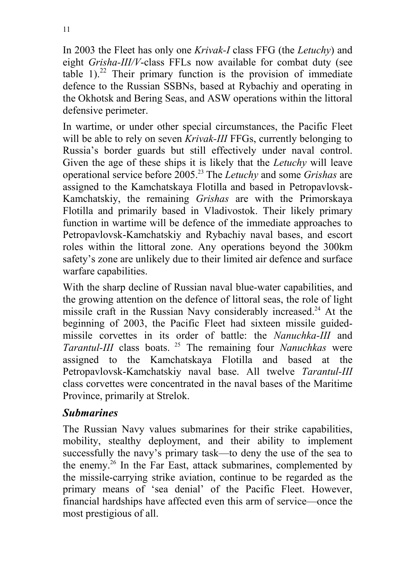In 2003 the Fleet has only one *Krivak-I* class FFG (the *Letuchy*) and eight *Grisha-III/V*-class FFLs now available for combat duty (see table  $1$ ).<sup>22</sup> Their primary function is the provision of immediate defence to the Russian SSBNs, based at Rybachiy and operating in the Okhotsk and Bering Seas, and ASW operations within the littoral defensive perimeter.

In wartime, or under other special circumstances, the Pacific Fleet will be able to rely on seven *Krivak-III* FFGs, currently belonging to Russia's border guards but still effectively under naval control. Given the age of these ships it is likely that the *Letuchy* will leave operational service before 2005.23 The *Letuchy* and some *Grishas* are assigned to the Kamchatskaya Flotilla and based in Petropavlovsk-Kamchatskiy, the remaining *Grishas* are with the Primorskaya Flotilla and primarily based in Vladivostok. Their likely primary function in wartime will be defence of the immediate approaches to Petropavlovsk-Kamchatskiy and Rybachiy naval bases, and escort roles within the littoral zone. Any operations beyond the 300km safety's zone are unlikely due to their limited air defence and surface warfare capabilities.

With the sharp decline of Russian naval blue-water capabilities, and the growing attention on the defence of littoral seas, the role of light missile craft in the Russian Navy considerably increased.<sup>24</sup> At the beginning of 2003, the Pacific Fleet had sixteen missile guidedmissile corvettes in its order of battle: the *Nanuchka-III* and *Tarantul-III* class boats. 25 The remaining four *Nanuchkas* were assigned to the Kamchatskaya Flotilla and based at the Petropavlovsk-Kamchatskiy naval base. All twelve *Tarantul-III* class corvettes were concentrated in the naval bases of the Maritime Province, primarily at Strelok.

#### *Submarines*

The Russian Navy values submarines for their strike capabilities, mobility, stealthy deployment, and their ability to implement successfully the navy's primary task—to deny the use of the sea to the enemy.26 In the Far East, attack submarines, complemented by the missile-carrying strike aviation, continue to be regarded as the primary means of 'sea denial' of the Pacific Fleet. However, financial hardships have affected even this arm of service—once the most prestigious of all.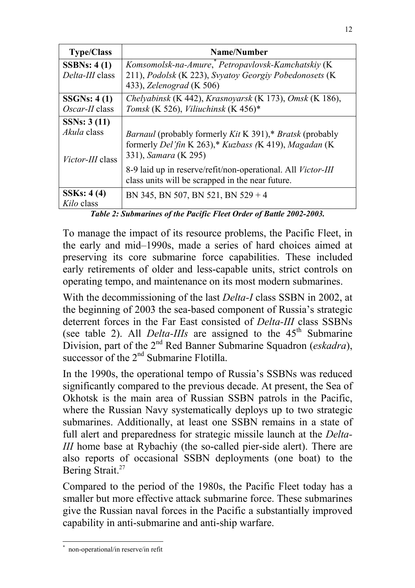| <b>Type/Class</b>                      | Name/Number                                                                                                                                                    |  |  |
|----------------------------------------|----------------------------------------------------------------------------------------------------------------------------------------------------------------|--|--|
| SSBNs: $4(1)$                          | Komsomolsk-na-Amure, Petropavlovsk-Kamchatskiy (K                                                                                                              |  |  |
| Delta-III class                        | 211), Podolsk (K 223), Svyatov Georgiy Pobedonosets (K                                                                                                         |  |  |
|                                        | 433), Zelenograd (K 506)                                                                                                                                       |  |  |
| SSGNs: 4(1)                            | Chelyabinsk (K 442), Krasnoyarsk (K 173), Omsk (K 186),                                                                                                        |  |  |
| Oscar-II class                         | Tomsk (K 526), Viliuchinsk (K 456)*                                                                                                                            |  |  |
| SSNs: $3(11)$                          |                                                                                                                                                                |  |  |
| Akula class<br><i>Victor-III</i> class | <i>Barnaul</i> (probably formerly <i>Kit</i> K 391),* <i>Bratsk</i> (probably<br>formerly Del'fin K 263),* Kuzbass (K 419), Magadan (K<br>331), Samara (K 295) |  |  |
|                                        | 8-9 laid up in reserve/refit/non-operational. All <i>Victor-III</i><br>class units will be scrapped in the near future.                                        |  |  |
| SSKs: 4(4)<br>Kilo class               | BN 345, BN 507, BN 521, BN 529 + 4                                                                                                                             |  |  |

*Table 2: Submarines of the Pacific Fleet Order of Battle 2002-2003.*

To manage the impact of its resource problems, the Pacific Fleet, in the early and mid–1990s, made a series of hard choices aimed at preserving its core submarine force capabilities. These included early retirements of older and less-capable units, strict controls on operating tempo, and maintenance on its most modern submarines.

With the decommissioning of the last *Delta-I* class SSBN in 2002, at the beginning of 2003 the sea-based component of Russia's strategic deterrent forces in the Far East consisted of *Delta-III* class SSBNs (see table 2). All *Delta-IIIs* are assigned to the 45<sup>th</sup> Submarine Division, part of the 2<sup>nd</sup> Red Banner Submarine Squadron (*eskadra*), successor of the  $2<sup>nd</sup>$  Submarine Flotilla.

In the 1990s, the operational tempo of Russia's SSBNs was reduced significantly compared to the previous decade. At present, the Sea of Okhotsk is the main area of Russian SSBN patrols in the Pacific, where the Russian Navy systematically deploys up to two strategic submarines. Additionally, at least one SSBN remains in a state of full alert and preparedness for strategic missile launch at the *Delta-III* home base at Rybachiy (the so-called pier-side alert). There are also reports of occasional SSBN deployments (one boat) to the Bering Strait.<sup>27</sup>

Compared to the period of the 1980s, the Pacific Fleet today has a smaller but more effective attack submarine force. These submarines give the Russian naval forces in the Pacific a substantially improved capability in anti-submarine and anti-ship warfare.

 $\overline{a}$ \* non-operational/in reserve/in refit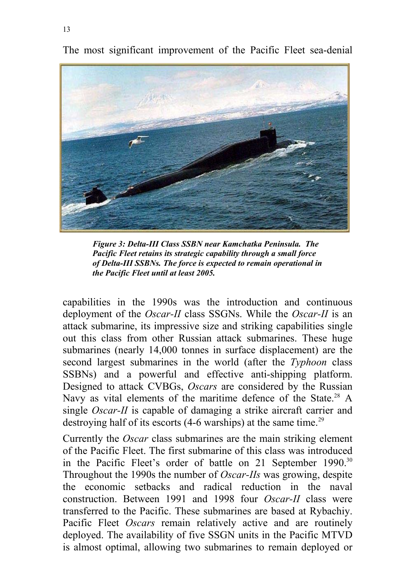

The most significant improvement of the Pacific Fleet sea-denial

*Figure 3: Delta-III Class SSBN near Kamchatka Peninsula. The Pacific Fleet retains its strategic capability through a small force of Delta-III SSBNs. The force is expected to remain operational in the Pacific Fleet until at least 2005.*

capabilities in the 1990s was the introduction and continuous deployment of the *Oscar-II* class SSGNs. While the *Oscar-II* is an attack submarine, its impressive size and striking capabilities single out this class from other Russian attack submarines. These huge submarines (nearly 14,000 tonnes in surface displacement) are the second largest submarines in the world (after the *Typhoon* class SSBNs) and a powerful and effective anti-shipping platform. Designed to attack CVBGs, *Oscars* are considered by the Russian Navy as vital elements of the maritime defence of the State.<sup>28</sup> A single *Oscar-II* is capable of damaging a strike aircraft carrier and destroying half of its escorts  $(4-6 \text{ warships})$  at the same time.<sup>29</sup>

Currently the *Oscar* class submarines are the main striking element of the Pacific Fleet. The first submarine of this class was introduced in the Pacific Fleet's order of battle on 21 September 1990.<sup>30</sup> Throughout the 1990s the number of *Oscar-IIs* was growing, despite the economic setbacks and radical reduction in the naval construction. Between 1991 and 1998 four *Oscar-II* class were transferred to the Pacific. These submarines are based at Rybachiy. Pacific Fleet *Oscars* remain relatively active and are routinely deployed. The availability of five SSGN units in the Pacific MTVD is almost optimal, allowing two submarines to remain deployed or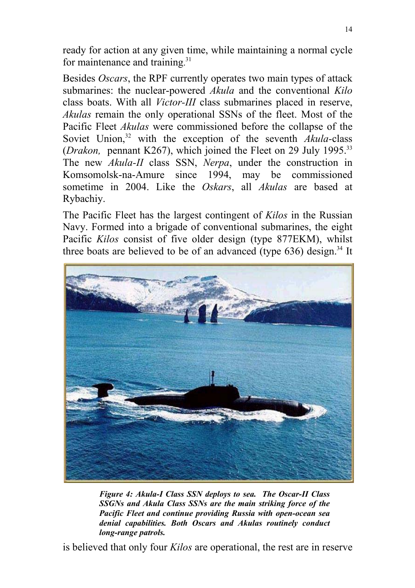ready for action at any given time, while maintaining a normal cycle for maintenance and training.<sup>31</sup>

Besides *Oscars*, the RPF currently operates two main types of attack submarines: the nuclear-powered *Akula* and the conventional *Kilo* class boats. With all *Victor-III* class submarines placed in reserve, *Akulas* remain the only operational SSNs of the fleet. Most of the Pacific Fleet *Akulas* were commissioned before the collapse of the Soviet Union,<sup>32</sup> with the exception of the seventh *Akula-class* (*Drakon*, pennant K267), which joined the Fleet on 29 July 1995.<sup>33</sup> The new *Akula-II* class SSN, *Nerpa*, under the construction in Komsomolsk-na-Amure since 1994, may be commissioned sometime in 2004. Like the *Oskars*, all *Akulas* are based at Rybachiy.

The Pacific Fleet has the largest contingent of *Kilos* in the Russian Navy. Formed into a brigade of conventional submarines, the eight Pacific *Kilos* consist of five older design (type 877EKM), whilst three boats are believed to be of an advanced (type  $636$ ) design.<sup>34</sup> It



*Figure 4: Akula-I Class SSN deploys to sea. The Oscar-II Class SSGNs and Akula Class SSNs are the main striking force of the Pacific Fleet and continue providing Russia with open-ocean sea denial capabilities. Both Oscars and Akulas routinely conduct long-range patrols.*

is believed that only four *Kilos* are operational, the rest are in reserve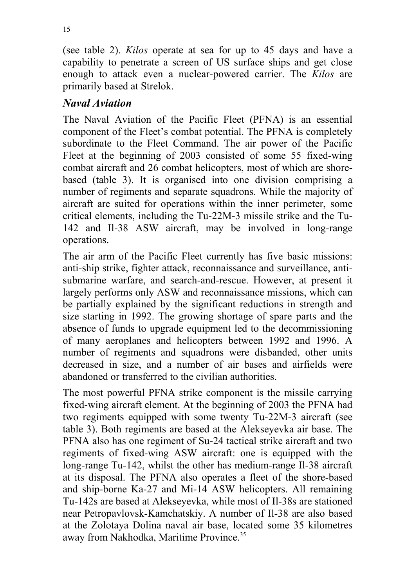15

(see table 2). *Kilos* operate at sea for up to 45 days and have a capability to penetrate a screen of US surface ships and get close enough to attack even a nuclear-powered carrier. The *Kilos* are primarily based at Strelok.

#### *Naval Aviation*

The Naval Aviation of the Pacific Fleet (PFNA) is an essential component of the Fleet's combat potential. The PFNA is completely subordinate to the Fleet Command. The air power of the Pacific Fleet at the beginning of 2003 consisted of some 55 fixed-wing combat aircraft and 26 combat helicopters, most of which are shorebased (table 3). It is organised into one division comprising a number of regiments and separate squadrons. While the majority of aircraft are suited for operations within the inner perimeter, some critical elements, including the Tu-22M-3 missile strike and the Tu-142 and Il-38 ASW aircraft, may be involved in long-range operations.

The air arm of the Pacific Fleet currently has five basic missions: anti-ship strike, fighter attack, reconnaissance and surveillance, antisubmarine warfare, and search-and-rescue. However, at present it largely performs only ASW and reconnaissance missions, which can be partially explained by the significant reductions in strength and size starting in 1992. The growing shortage of spare parts and the absence of funds to upgrade equipment led to the decommissioning of many aeroplanes and helicopters between 1992 and 1996. A number of regiments and squadrons were disbanded, other units decreased in size, and a number of air bases and airfields were abandoned or transferred to the civilian authorities.

The most powerful PFNA strike component is the missile carrying fixed-wing aircraft element. At the beginning of 2003 the PFNA had two regiments equipped with some twenty Tu-22M-3 aircraft (see table 3). Both regiments are based at the Alekseyevka air base. The PFNA also has one regiment of Su-24 tactical strike aircraft and two regiments of fixed-wing ASW aircraft: one is equipped with the long-range Tu-142, whilst the other has medium-range Il-38 aircraft at its disposal. The PFNA also operates a fleet of the shore-based and ship-borne Ka-27 and Mi-14 ASW helicopters. All remaining Tu-142s are based at Alekseyevka, while most of Il-38s are stationed near Petropavlovsk-Kamchatskiy. A number of Il-38 are also based at the Zolotaya Dolina naval air base, located some 35 kilometres away from Nakhodka, Maritime Province.<sup>35</sup>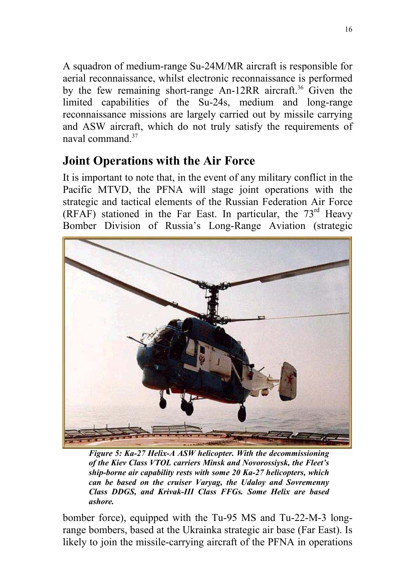A squadron of medium-range Su-24M/MR aircraft is responsible for aerial reconnaissance, whilst electronic reconnaissance is performed by the few remaining short-range An-12RR aircraft.<sup>36</sup> Given the limited capabilities of the Su-24s, medium and long-range reconnaissance missions are largely carried out by missile carrying and ASW aircraft, which do not truly satisfy the requirements of naval command  $37$ 

# **Joint Operations with the Air Force**

It is important to note that, in the event of any military conflict in the Pacific MTVD, the PFNA will stage joint operations with the strategic and tactical elements of the Russian Federation Air Force (RFAF) stationed in the Far East. In particular, the  $73<sup>rd</sup>$  Heavy Bomber Division of Russia's Long-Range Aviation (strategic



*Figure 5: Ka-27 Helix-A ASW helicopter. With the decommissioning of the Kiev Class VTOL carriers Minsk and Novorossiysk, the Fleet's ship-borne air capability rests with some 20 Ka-27 helicopters, which can be based on the cruiser Varyag, the Udaloy and Sovremenny Class DDGS, and Krivak-III Class FFGs. Some Helix are based ashore.*

bomber force), equipped with the Tu-95 MS and Tu-22-M-3 longrange bombers, based at the Ukrainka strategic air base (Far East). Is likely to join the missile-carrying aircraft of the PFNA in operations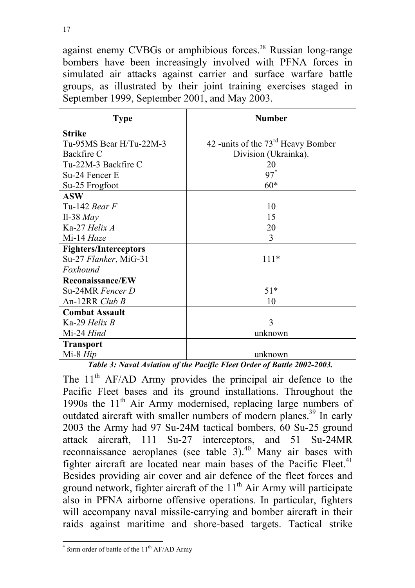against enemy CVBGs or amphibious forces.<sup>38</sup> Russian long-range bombers have been increasingly involved with PFNA forces in simulated air attacks against carrier and surface warfare battle groups, as illustrated by their joint training exercises staged in September 1999, September 2001, and May 2003.

| <b>Type</b>                  | <b>Number</b>                                  |  |  |
|------------------------------|------------------------------------------------|--|--|
| <b>Strike</b>                |                                                |  |  |
| Tu-95MS Bear H/Tu-22M-3      | 42 -units of the 73 <sup>rd</sup> Heavy Bomber |  |  |
| Backfire C                   | Division (Ukrainka).                           |  |  |
| Tu-22M-3 Backfire C          | 20                                             |  |  |
| Su-24 Fencer E               | $97*$                                          |  |  |
| Su-25 Frogfoot               | $60*$                                          |  |  |
| <b>ASW</b>                   |                                                |  |  |
| Tu-142 Bear $F$              | 10                                             |  |  |
| Il-38 $May$                  | 15                                             |  |  |
| Ka-27 Helix A                | 20                                             |  |  |
| Mi-14 Haze                   | 3                                              |  |  |
| <b>Fighters/Interceptors</b> |                                                |  |  |
| Su-27 Flanker, MiG-31        | $111*$                                         |  |  |
| Foxhound                     |                                                |  |  |
| <b>Reconaissance/EW</b>      |                                                |  |  |
| Su-24MR Fencer D             | $51*$                                          |  |  |
| An-12RR Club B               | 10                                             |  |  |
| <b>Combat Assault</b>        |                                                |  |  |
| Ka-29 Helix B                | 3                                              |  |  |
| Mi-24 Hind                   | unknown                                        |  |  |
| <b>Transport</b>             |                                                |  |  |
| $Mi-8$ $Hip$                 | unknown                                        |  |  |

*Table 3: Naval Aviation of the Pacific Fleet Order of Battle 2002-2003.*

The  $11<sup>th</sup>$  AF/AD Army provides the principal air defence to the Pacific Fleet bases and its ground installations. Throughout the 1990s the  $11<sup>th</sup>$  Air Army modernised, replacing large numbers of outdated aircraft with smaller numbers of modern planes.<sup>39</sup> In early 2003 the Army had 97 Su-24M tactical bombers, 60 Su-25 ground attack aircraft, 111 Su-27 interceptors, and 51 Su-24MR reconnaissance aeroplanes (see table  $3)$ .<sup>40</sup> Many air bases with fighter aircraft are located near main bases of the Pacific Fleet.<sup>41</sup> Besides providing air cover and air defence of the fleet forces and ground network, fighter aircraft of the  $11<sup>th</sup>$  Air Army will participate also in PFNA airborne offensive operations. In particular, fighters will accompany naval missile-carrying and bomber aircraft in their raids against maritime and shore-based targets. Tactical strike

 $*$  form order of battle of the  $11<sup>th</sup>$  AF/AD Army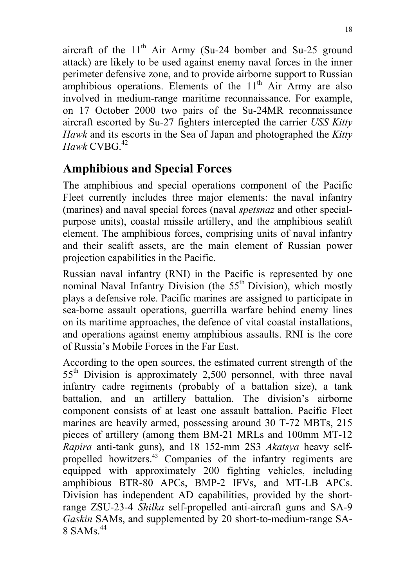aircraft of the  $11<sup>th</sup>$  Air Army (Su-24 bomber and Su-25 ground attack) are likely to be used against enemy naval forces in the inner perimeter defensive zone, and to provide airborne support to Russian amphibious operations. Elements of the  $11<sup>th</sup>$  Air Army are also involved in medium-range maritime reconnaissance. For example, on 17 October 2000 two pairs of the Su-24MR reconnaissance aircraft escorted by Su-27 fighters intercepted the carrier *USS Kitty Hawk* and its escorts in the Sea of Japan and photographed the *Kitty*  $Hawk$  CVBG. $42$ 

# **Amphibious and Special Forces**

The amphibious and special operations component of the Pacific Fleet currently includes three major elements: the naval infantry (marines) and naval special forces (naval *spetsnaz* and other specialpurpose units), coastal missile artillery, and the amphibious sealift element. The amphibious forces, comprising units of naval infantry and their sealift assets, are the main element of Russian power projection capabilities in the Pacific.

Russian naval infantry (RNI) in the Pacific is represented by one nominal Naval Infantry Division (the  $55<sup>th</sup>$  Division), which mostly plays a defensive role. Pacific marines are assigned to participate in sea-borne assault operations, guerrilla warfare behind enemy lines on its maritime approaches, the defence of vital coastal installations, and operations against enemy amphibious assaults. RNI is the core of Russia's Mobile Forces in the Far East.

According to the open sources, the estimated current strength of the 55th Division is approximately 2,500 personnel, with three naval infantry cadre regiments (probably of a battalion size), a tank battalion, and an artillery battalion. The division's airborne component consists of at least one assault battalion. Pacific Fleet marines are heavily armed, possessing around 30 T-72 MBTs, 215 pieces of artillery (among them BM-21 MRLs and 100mm MT-12 *Rapira* anti-tank guns), and 18 152-mm 2S3 *Akatsya* heavy selfpropelled howitzers.<sup>43</sup> Companies of the infantry regiments are equipped with approximately 200 fighting vehicles, including amphibious BTR-80 APCs, BMP-2 IFVs, and MT-LB APCs. Division has independent AD capabilities, provided by the shortrange ZSU-23-4 *Shilka* self-propelled anti-aircraft guns and SA-9 *Gaskin* SAMs, and supplemented by 20 short-to-medium-range SA- $8$  SAMs<sup>44</sup>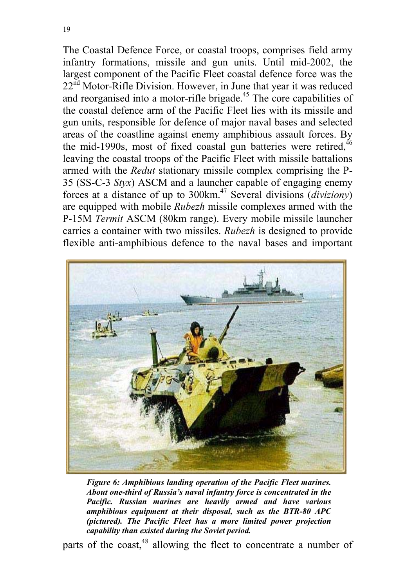The Coastal Defence Force, or coastal troops, comprises field army infantry formations, missile and gun units. Until mid-2002, the largest component of the Pacific Fleet coastal defence force was the  $22<sup>nd</sup> Motor-Riffe Division. However, in June that year it was reduced$ and reorganised into a motor-rifle brigade.<sup>45</sup> The core capabilities of the coastal defence arm of the Pacific Fleet lies with its missile and gun units, responsible for defence of major naval bases and selected areas of the coastline against enemy amphibious assault forces. By the mid-1990s, most of fixed coastal gun batteries were retired.<sup>46</sup> leaving the coastal troops of the Pacific Fleet with missile battalions armed with the *Redut* stationary missile complex comprising the P-35 (SS-C-3 *Styx*) ASCM and a launcher capable of engaging enemy forces at a distance of up to 300km.47 Several divisions (*diviziony*) are equipped with mobile *Rubezh* missile complexes armed with the P-15M *Termit* ASCM (80km range). Every mobile missile launcher carries a container with two missiles. *Rubezh* is designed to provide flexible anti-amphibious defence to the naval bases and important



*Figure 6: Amphibious landing operation of the Pacific Fleet marines. About one-third of Russia's naval infantry force is concentrated in the Pacific. Russian marines are heavily armed and have various amphibious equipment at their disposal, such as the BTR-80 APC (pictured). The Pacific Fleet has a more limited power projection capability than existed during the Soviet period.*

parts of the coast,<sup>48</sup> allowing the fleet to concentrate a number of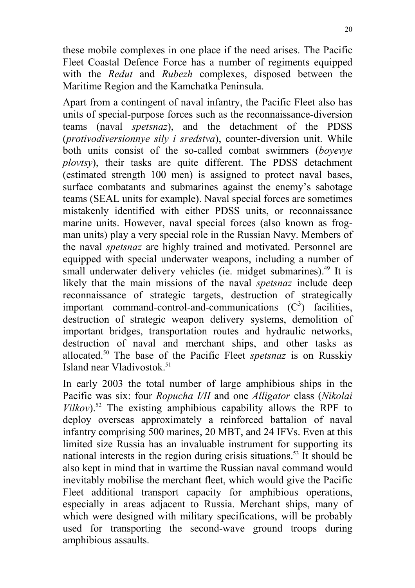these mobile complexes in one place if the need arises. The Pacific Fleet Coastal Defence Force has a number of regiments equipped with the *Redut* and *Rubezh* complexes, disposed between the Maritime Region and the Kamchatka Peninsula.

Apart from a contingent of naval infantry, the Pacific Fleet also has units of special-purpose forces such as the reconnaissance-diversion teams (naval *spetsnaz*), and the detachment of the PDSS (*protivodiversionnye sily i sredstva*), counter-diversion unit. While both units consist of the so-called combat swimmers (*boyevye plovtsy*), their tasks are quite different. The PDSS detachment (estimated strength 100 men) is assigned to protect naval bases, surface combatants and submarines against the enemy's sabotage teams (SEAL units for example). Naval special forces are sometimes mistakenly identified with either PDSS units, or reconnaissance marine units. However, naval special forces (also known as frogman units) play a very special role in the Russian Navy. Members of the naval *spetsnaz* are highly trained and motivated. Personnel are equipped with special underwater weapons, including a number of small underwater delivery vehicles (ie. midget submarines).<sup>49</sup> It is likely that the main missions of the naval *spetsnaz* include deep reconnaissance of strategic targets, destruction of strategically important command-control-and-communications  $(C^3)$  facilities, destruction of strategic weapon delivery systems, demolition of important bridges, transportation routes and hydraulic networks, destruction of naval and merchant ships, and other tasks as allocated.50 The base of the Pacific Fleet *spetsnaz* is on Russkiy Island near Vladivostok.<sup>51</sup>

In early 2003 the total number of large amphibious ships in the Pacific was six: four *Ropucha I/II* and one *Alligator* class (*Nikolai*  $Vilkov$ <sup>52</sup>. The existing amphibious capability allows the RPF to deploy overseas approximately a reinforced battalion of naval infantry comprising 500 marines, 20 MBT, and 24 IFVs. Even at this limited size Russia has an invaluable instrument for supporting its national interests in the region during crisis situations.<sup>53</sup> It should be also kept in mind that in wartime the Russian naval command would inevitably mobilise the merchant fleet, which would give the Pacific Fleet additional transport capacity for amphibious operations, especially in areas adjacent to Russia. Merchant ships, many of which were designed with military specifications, will be probably used for transporting the second-wave ground troops during amphibious assaults.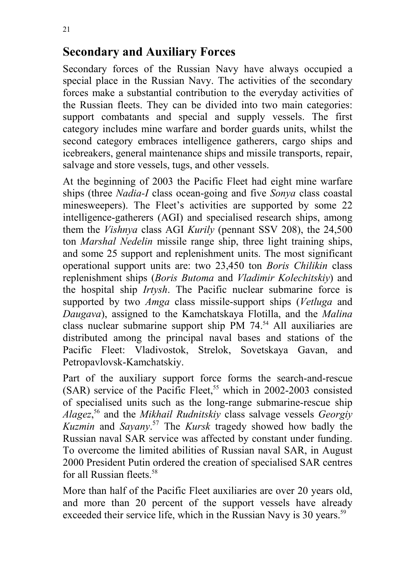## **Secondary and Auxiliary Forces**

Secondary forces of the Russian Navy have always occupied a special place in the Russian Navy. The activities of the secondary forces make a substantial contribution to the everyday activities of the Russian fleets. They can be divided into two main categories: support combatants and special and supply vessels. The first category includes mine warfare and border guards units, whilst the second category embraces intelligence gatherers, cargo ships and icebreakers, general maintenance ships and missile transports, repair, salvage and store vessels, tugs, and other vessels.

At the beginning of 2003 the Pacific Fleet had eight mine warfare ships (three *Nadia-I* class ocean-going and five *Sonya* class coastal minesweepers). The Fleet's activities are supported by some 22 intelligence-gatherers (AGI) and specialised research ships, among them the *Vishnya* class AGI *Kurily* (pennant SSV 208), the 24,500 ton *Marshal Nedelin* missile range ship, three light training ships, and some 25 support and replenishment units. The most significant operational support units are: two 23,450 ton *Boris Chilikin* class replenishment ships (*Boris Butoma* and *Vladimir Kolechitskiy*) and the hospital ship *Irtysh*. The Pacific nuclear submarine force is supported by two *Amga* class missile-support ships (*Vetluga* and *Daugava*), assigned to the Kamchatskaya Flotilla, and the *Malina* class nuclear submarine support ship PM 74.54 All auxiliaries are distributed among the principal naval bases and stations of the Pacific Fleet: Vladivostok, Strelok, Sovetskaya Gavan, and Petropavlovsk-Kamchatskiy.

Part of the auxiliary support force forms the search-and-rescue (SAR) service of the Pacific Fleet,<sup>55</sup> which in 2002-2003 consisted of specialised units such as the long-range submarine-rescue ship *Alagez*, 56 and the *Mikhail Rudnitskiy* class salvage vessels *Georgiy Kuzmin* and *Sayany*. 57 The *Kursk* tragedy showed how badly the Russian naval SAR service was affected by constant under funding. To overcome the limited abilities of Russian naval SAR, in August 2000 President Putin ordered the creation of specialised SAR centres for all Russian fleets.58

More than half of the Pacific Fleet auxiliaries are over 20 years old, and more than 20 percent of the support vessels have already exceeded their service life, which in the Russian Navy is 30 years.<sup>59</sup>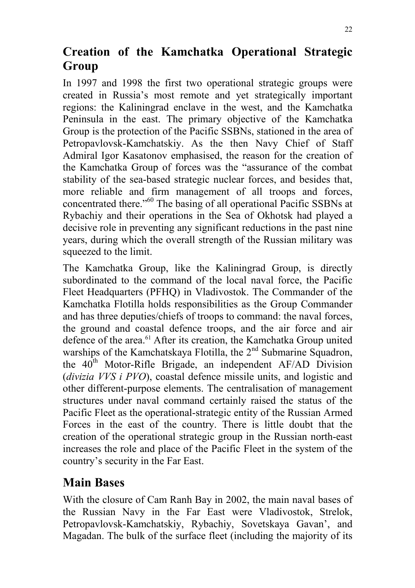# **Creation of the Kamchatka Operational Strategic Group**

In 1997 and 1998 the first two operational strategic groups were created in Russia's most remote and yet strategically important regions: the Kaliningrad enclave in the west, and the Kamchatka Peninsula in the east. The primary objective of the Kamchatka Group is the protection of the Pacific SSBNs, stationed in the area of Petropavlovsk-Kamchatskiy. As the then Navy Chief of Staff Admiral Igor Kasatonov emphasised, the reason for the creation of the Kamchatka Group of forces was the "assurance of the combat stability of the sea-based strategic nuclear forces, and besides that, more reliable and firm management of all troops and forces, concentrated there."<sup>60</sup> The basing of all operational Pacific SSBNs at Rybachiy and their operations in the Sea of Okhotsk had played a decisive role in preventing any significant reductions in the past nine years, during which the overall strength of the Russian military was squeezed to the limit.

The Kamchatka Group, like the Kaliningrad Group, is directly subordinated to the command of the local naval force, the Pacific Fleet Headquarters (PFHQ) in Vladivostok. The Commander of the Kamchatka Flotilla holds responsibilities as the Group Commander and has three deputies/chiefs of troops to command: the naval forces, the ground and coastal defence troops, and the air force and air defence of the area.<sup>61</sup> After its creation, the Kamchatka Group united warships of the Kamchatskaya Flotilla, the 2<sup>nd</sup> Submarine Squadron, the  $40<sup>th</sup>$  Motor-Rifle Brigade, an independent AF/AD Division (*divizia VVS i PVO*), coastal defence missile units, and logistic and other different-purpose elements. The centralisation of management structures under naval command certainly raised the status of the Pacific Fleet as the operational-strategic entity of the Russian Armed Forces in the east of the country. There is little doubt that the creation of the operational strategic group in the Russian north-east increases the role and place of the Pacific Fleet in the system of the country's security in the Far East.

## **Main Bases**

With the closure of Cam Ranh Bay in 2002, the main naval bases of the Russian Navy in the Far East were Vladivostok, Strelok, Petropavlovsk-Kamchatskiy, Rybachiy, Sovetskaya Gavan', and Magadan. The bulk of the surface fleet (including the majority of its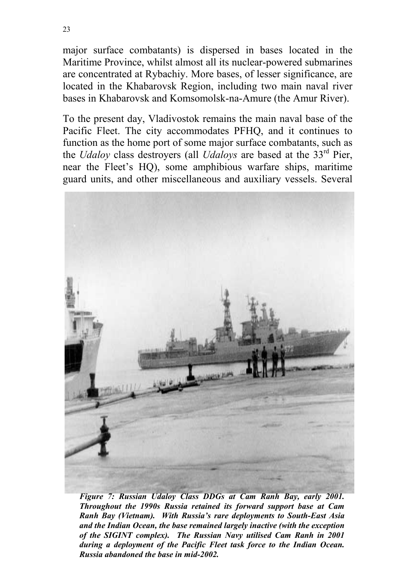major surface combatants) is dispersed in bases located in the Maritime Province, whilst almost all its nuclear-powered submarines are concentrated at Rybachiy. More bases, of lesser significance, are located in the Khabarovsk Region, including two main naval river bases in Khabarovsk and Komsomolsk-na-Amure (the Amur River).

To the present day, Vladivostok remains the main naval base of the Pacific Fleet. The city accommodates PFHQ, and it continues to function as the home port of some major surface combatants, such as the *Udaloy* class destroyers (all *Udaloys* are based at the 33rd Pier, near the Fleet's HQ), some amphibious warfare ships, maritime guard units, and other miscellaneous and auxiliary vessels. Several



*Figure 7: Russian Udaloy Class DDGs at Cam Ranh Bay, early 2001. Throughout the 1990s Russia retained its forward support base at Cam Ranh Bay (Vietnam). With Russia's rare deployments to South-East Asia and the Indian Ocean, the base remained largely inactive (with the exception of the SIGINT complex). The Russian Navy utilised Cam Ranh in 2001 during a deployment of the Pacific Fleet task force to the Indian Ocean. Russia abandoned the base in mid-2002.*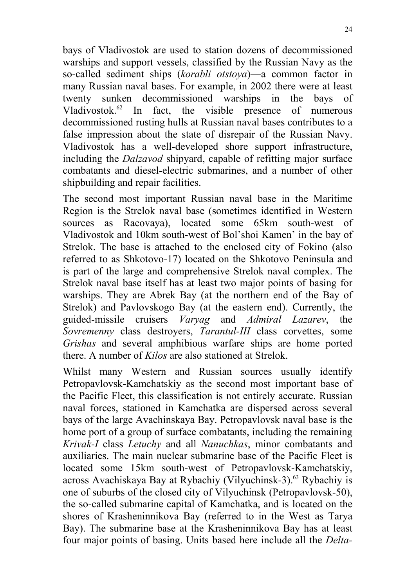bays of Vladivostok are used to station dozens of decommissioned warships and support vessels, classified by the Russian Navy as the so-called sediment ships (*korabli otstoya*)—a common factor in many Russian naval bases. For example, in 2002 there were at least twenty sunken decommissioned warships in the bays of Vladivostok. $62$  In fact, the visible presence of numerous decommissioned rusting hulls at Russian naval bases contributes to a false impression about the state of disrepair of the Russian Navy. Vladivostok has a well-developed shore support infrastructure, including the *Dalzavod* shipyard, capable of refitting major surface combatants and diesel-electric submarines, and a number of other shipbuilding and repair facilities.

The second most important Russian naval base in the Maritime Region is the Strelok naval base (sometimes identified in Western sources as Racovaya), located some 65km south-west of Vladivostok and 10km south-west of Bol'shoi Kamen' in the bay of Strelok. The base is attached to the enclosed city of Fokino (also referred to as Shkotovo-17) located on the Shkotovo Peninsula and is part of the large and comprehensive Strelok naval complex. The Strelok naval base itself has at least two major points of basing for warships. They are Abrek Bay (at the northern end of the Bay of Strelok) and Pavlovskogo Bay (at the eastern end). Currently, the guided-missile cruisers *Varyag* and *Admiral Lazarev*, the *Sovremenny* class destroyers, *Tarantul-III* class corvettes, some *Grishas* and several amphibious warfare ships are home ported there. A number of *Kilos* are also stationed at Strelok.

Whilst many Western and Russian sources usually identify Petropavlovsk-Kamchatskiy as the second most important base of the Pacific Fleet, this classification is not entirely accurate. Russian naval forces, stationed in Kamchatka are dispersed across several bays of the large Avachinskaya Bay. Petropavlovsk naval base is the home port of a group of surface combatants, including the remaining *Krivak-I* class *Letuchy* and all *Nanuchkas*, minor combatants and auxiliaries. The main nuclear submarine base of the Pacific Fleet is located some 15km south-west of Petropavlovsk-Kamchatskiy, across Avachiskaya Bay at Rybachiy (Vilyuchinsk-3).63 Rybachiy is one of suburbs of the closed city of Vilyuchinsk (Petropavlovsk-50), the so-called submarine capital of Kamchatka, and is located on the shores of Krasheninnikova Bay (referred to in the West as Tarya Bay). The submarine base at the Krasheninnikova Bay has at least four major points of basing. Units based here include all the *Delta-*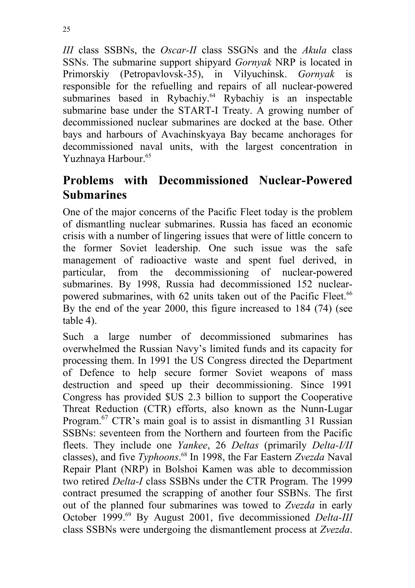*III* class SSBNs, the *Oscar-II* class SSGNs and the *Akula* class SSNs. The submarine support shipyard *Gornyak* NRP is located in Primorskiy (Petropavlovsk-35), in Vilyuchinsk. *Gornyak* is responsible for the refuelling and repairs of all nuclear-powered submarines based in Rybachiy.<sup>64</sup> Rybachiy is an inspectable submarine base under the START-I Treaty. A growing number of decommissioned nuclear submarines are docked at the base. Other bays and harbours of Avachinskyaya Bay became anchorages for decommissioned naval units, with the largest concentration in Yuzhnaya Harbour.<sup>65</sup>

## **Problems with Decommissioned Nuclear-Powered Submarines**

One of the major concerns of the Pacific Fleet today is the problem of dismantling nuclear submarines. Russia has faced an economic crisis with a number of lingering issues that were of little concern to the former Soviet leadership. One such issue was the safe management of radioactive waste and spent fuel derived, in particular, from the decommissioning of nuclear-powered submarines. By 1998, Russia had decommissioned 152 nuclearpowered submarines, with 62 units taken out of the Pacific Fleet.<sup>66</sup> By the end of the year 2000, this figure increased to 184 (74) (see table 4).

Such a large number of decommissioned submarines has overwhelmed the Russian Navy's limited funds and its capacity for processing them. In 1991 the US Congress directed the Department of Defence to help secure former Soviet weapons of mass destruction and speed up their decommissioning. Since 1991 Congress has provided \$US 2.3 billion to support the Cooperative Threat Reduction (CTR) efforts, also known as the Nunn-Lugar Program.<sup>67</sup> CTR's main goal is to assist in dismantling 31 Russian SSBNs: seventeen from the Northern and fourteen from the Pacific fleets. They include one *Yankee*, 26 *Deltas* (primarily *Delta-I/II* classes), and five *Typhoons*. <sup>68</sup> In 1998, the Far Eastern *Zvezda* Naval Repair Plant (NRP) in Bolshoi Kamen was able to decommission two retired *Delta-I* class SSBNs under the CTR Program. The 1999 contract presumed the scrapping of another four SSBNs. The first out of the planned four submarines was towed to *Zvezda* in early October 1999.69 By August 2001, five decommissioned *Delta-III* class SSBNs were undergoing the dismantlement process at *Zvezda*.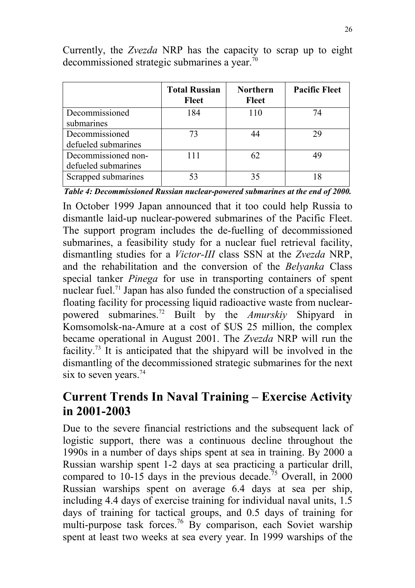|                     | <b>Total Russian</b><br><b>Fleet</b> | <b>Northern</b><br><b>Fleet</b> | <b>Pacific Fleet</b> |
|---------------------|--------------------------------------|---------------------------------|----------------------|
| Decommissioned      | 184                                  | 110                             | 74                   |
| submarines          |                                      |                                 |                      |
| Decommissioned      | 73                                   | 44                              | 29                   |
| defueled submarines |                                      |                                 |                      |
| Decommissioned non- | 111                                  | 62                              | 49                   |
| defueled submarines |                                      |                                 |                      |
| Scrapped submarines | 53                                   | 35                              |                      |

Currently, the *Zvezda* NRP has the capacity to scrap up to eight decommissioned strategic submarines a year.70

*Table 4: Decommissioned Russian nuclear-powered submarines at the end of 2000.*

In October 1999 Japan announced that it too could help Russia to dismantle laid-up nuclear-powered submarines of the Pacific Fleet. The support program includes the de-fuelling of decommissioned submarines, a feasibility study for a nuclear fuel retrieval facility, dismantling studies for a *Victor-III* class SSN at the *Zvezda* NRP, and the rehabilitation and the conversion of the *Belyanka* Class special tanker *Pinega* for use in transporting containers of spent nuclear fuel.71 Japan has also funded the construction of a specialised floating facility for processing liquid radioactive waste from nuclearpowered submarines.72 Built by the *Amurskiy* Shipyard in Komsomolsk-na-Amure at a cost of \$US 25 million, the complex became operational in August 2001. The *Zvezda* NRP will run the facility.73 It is anticipated that the shipyard will be involved in the dismantling of the decommissioned strategic submarines for the next six to seven years.<sup>74</sup>

### **Current Trends In Naval Training – Exercise Activity in 2001-2003**

Due to the severe financial restrictions and the subsequent lack of logistic support, there was a continuous decline throughout the 1990s in a number of days ships spent at sea in training. By 2000 a Russian warship spent 1-2 days at sea practicing a particular drill, compared to 10-15 days in the previous decade.<sup>75</sup> Overall, in 2000 Russian warships spent on average 6.4 days at sea per ship, including 4.4 days of exercise training for individual naval units, 1.5 days of training for tactical groups, and 0.5 days of training for multi-purpose task forces.<sup>76</sup> By comparison, each Soviet warship spent at least two weeks at sea every year. In 1999 warships of the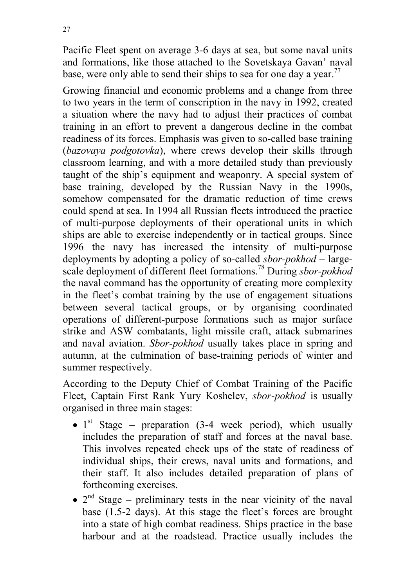Pacific Fleet spent on average 3-6 days at sea, but some naval units and formations, like those attached to the Sovetskaya Gavan' naval base, were only able to send their ships to sea for one day a year.<sup>77</sup>

Growing financial and economic problems and a change from three to two years in the term of conscription in the navy in 1992, created a situation where the navy had to adjust their practices of combat training in an effort to prevent a dangerous decline in the combat readiness of its forces. Emphasis was given to so-called base training (*bazovaya podgotovka*), where crews develop their skills through classroom learning, and with a more detailed study than previously taught of the ship's equipment and weaponry. A special system of base training, developed by the Russian Navy in the 1990s, somehow compensated for the dramatic reduction of time crews could spend at sea. In 1994 all Russian fleets introduced the practice of multi-purpose deployments of their operational units in which ships are able to exercise independently or in tactical groups. Since 1996 the navy has increased the intensity of multi-purpose deployments by adopting a policy of so-called *sbor-pokhod* – largescale deployment of different fleet formations.78 During *sbor-pokhod* the naval command has the opportunity of creating more complexity in the fleet's combat training by the use of engagement situations between several tactical groups, or by organising coordinated operations of different-purpose formations such as major surface strike and ASW combatants, light missile craft, attack submarines and naval aviation. *Sbor-pokhod* usually takes place in spring and autumn, at the culmination of base-training periods of winter and summer respectively.

According to the Deputy Chief of Combat Training of the Pacific Fleet, Captain First Rank Yury Koshelev, *sbor-pokhod* is usually organised in three main stages:

- $1<sup>st</sup>$  Stage preparation (3-4 week period), which usually includes the preparation of staff and forces at the naval base. This involves repeated check ups of the state of readiness of individual ships, their crews, naval units and formations, and their staff. It also includes detailed preparation of plans of forthcoming exercises.
- $2<sup>nd</sup>$  Stage preliminary tests in the near vicinity of the naval base (1.5-2 days). At this stage the fleet's forces are brought into a state of high combat readiness. Ships practice in the base harbour and at the roadstead. Practice usually includes the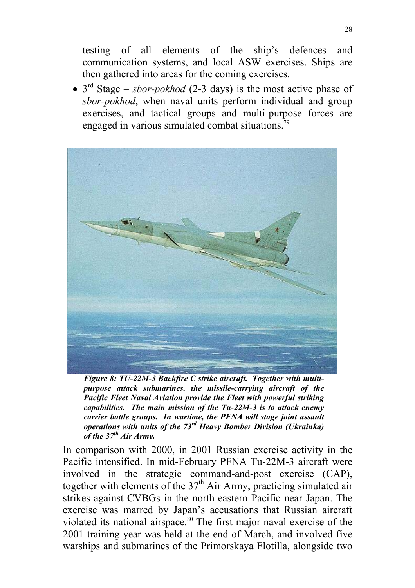testing of all elements of the ship's defences and communication systems, and local ASW exercises. Ships are then gathered into areas for the coming exercises.

 $\bullet$  3<sup>rd</sup> Stage – *sbor-pokhod* (2-3 days) is the most active phase of *sbor-pokhod*, when naval units perform individual and group exercises, and tactical groups and multi-purpose forces are engaged in various simulated combat situations.<sup>79</sup>



*Figure 8: TU-22M-3 Backfire C strike aircraft. Together with multipurpose attack submarines, the missile-carrying aircraft of the Pacific Fleet Naval Aviation provide the Fleet with powerful striking capabilities. The main mission of the Tu-22M-3 is to attack enemy carrier battle groups. In wartime, the PFNA will stage joint assault operations with units of the 73rd Heavy Bomber Division (Ukrainka) of the 37th Air Army.*

In comparison with 2000, in 2001 Russian exercise activity in the Pacific intensified. In mid-February PFNA Tu-22M-3 aircraft were involved in the strategic command-and-post exercise (CAP), together with elements of the  $37<sup>th</sup>$  Air Army, practicing simulated air strikes against CVBGs in the north-eastern Pacific near Japan. The exercise was marred by Japan's accusations that Russian aircraft violated its national airspace.<sup>80</sup> The first major naval exercise of the 2001 training year was held at the end of March, and involved five warships and submarines of the Primorskaya Flotilla, alongside two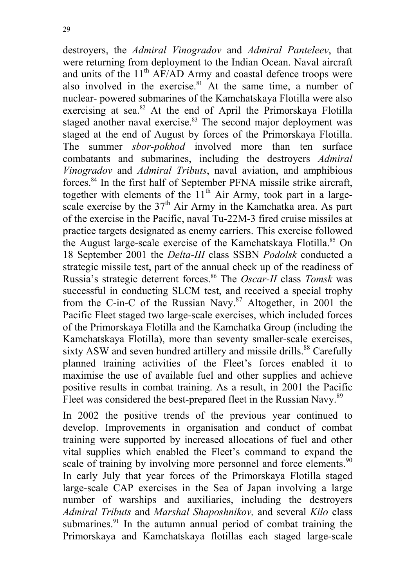destroyers, the *Admiral Vinogradov* and *Admiral Panteleev*, that were returning from deployment to the Indian Ocean. Naval aircraft and units of the  $11<sup>th</sup>$  AF/AD Army and coastal defence troops were also involved in the exercise. $81$  At the same time, a number of nuclear- powered submarines of the Kamchatskaya Flotilla were also exercising at sea.<sup>82</sup> At the end of April the Primorskaya Flotilla staged another naval exercise.<sup>83</sup> The second major deployment was staged at the end of August by forces of the Primorskaya Flotilla. The summer *sbor-pokhod* involved more than ten surface combatants and submarines, including the destroyers *Admiral Vinogradov* and *Admiral Tributs*, naval aviation, and amphibious forces.84 In the first half of September PFNA missile strike aircraft, together with elements of the  $11<sup>th</sup>$  Air Army, took part in a largescale exercise by the  $37<sup>th</sup>$  Air Army in the Kamchatka area. As part of the exercise in the Pacific, naval Tu-22M-3 fired cruise missiles at practice targets designated as enemy carriers. This exercise followed the August large-scale exercise of the Kamchatskaya Flotilla.<sup>85</sup> On 18 September 2001 the *Delta-III* class SSBN *Podolsk* conducted a strategic missile test, part of the annual check up of the readiness of Russia's strategic deterrent forces.86 The *Oscar-II* class *Tomsk* was successful in conducting SLCM test, and received a special trophy from the C-in-C of the Russian Navy.<sup>87</sup> Altogether, in 2001 the Pacific Fleet staged two large-scale exercises, which included forces of the Primorskaya Flotilla and the Kamchatka Group (including the Kamchatskaya Flotilla), more than seventy smaller-scale exercises, sixty ASW and seven hundred artillery and missile drills.<sup>88</sup> Carefully planned training activities of the Fleet's forces enabled it to maximise the use of available fuel and other supplies and achieve positive results in combat training. As a result, in 2001 the Pacific Fleet was considered the best-prepared fleet in the Russian Navy.<sup>89</sup>

In 2002 the positive trends of the previous year continued to develop. Improvements in organisation and conduct of combat training were supported by increased allocations of fuel and other vital supplies which enabled the Fleet's command to expand the scale of training by involving more personnel and force elements.<sup>90</sup> In early July that year forces of the Primorskaya Flotilla staged large-scale CAP exercises in the Sea of Japan involving a large number of warships and auxiliaries, including the destroyers *Admiral Tributs* and *Marshal Shaposhnikov,* and several *Kilo* class submarines.<sup>91</sup> In the autumn annual period of combat training the Primorskaya and Kamchatskaya flotillas each staged large-scale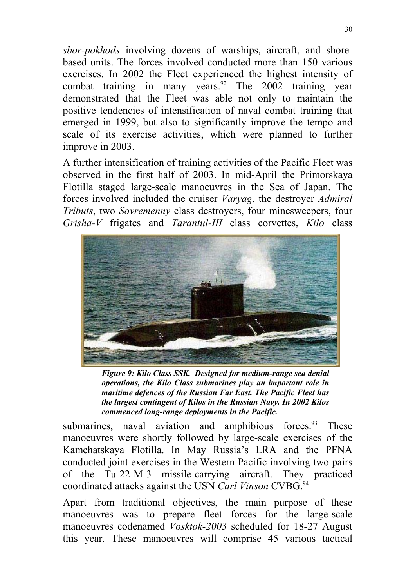*sbor-pokhods* involving dozens of warships, aircraft, and shorebased units. The forces involved conducted more than 150 various exercises. In 2002 the Fleet experienced the highest intensity of combat training in many years.<sup>92</sup> The 2002 training year demonstrated that the Fleet was able not only to maintain the positive tendencies of intensification of naval combat training that emerged in 1999, but also to significantly improve the tempo and scale of its exercise activities, which were planned to further improve in 2003.

A further intensification of training activities of the Pacific Fleet was observed in the first half of 2003. In mid-April the Primorskaya Flotilla staged large-scale manoeuvres in the Sea of Japan. The forces involved included the cruiser *Varyag*, the destroyer *Admiral Tributs*, two *Sovremenny* class destroyers, four minesweepers, four *Grisha-V* frigates and *Tarantul-III* class corvettes, *Kilo* class



*Figure 9: Kilo Class SSK. Designed for medium-range sea denial operations, the Kilo Class submarines play an important role in maritime defences of the Russian Far East. The Pacific Fleet has the largest contingent of Kilos in the Russian Navy. In 2002 Kilos commenced long-range deployments in the Pacific.*

submarines, naval aviation and amphibious forces. These manoeuvres were shortly followed by large-scale exercises of the Kamchatskaya Flotilla. In May Russia's LRA and the PFNA conducted joint exercises in the Western Pacific involving two pairs of the Tu-22-M-3 missile-carrying aircraft. They practiced coordinated attacks against the USN *Carl Vinson* CVBG.<sup>94</sup>

Apart from traditional objectives, the main purpose of these manoeuvres was to prepare fleet forces for the large-scale manoeuvres codenamed *Vosktok-2003* scheduled for 18-27 August this year. These manoeuvres will comprise 45 various tactical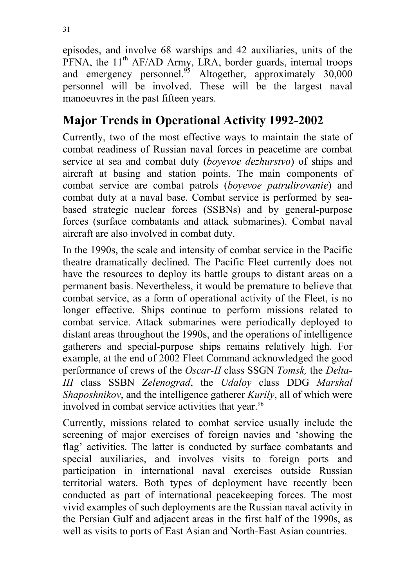episodes, and involve 68 warships and 42 auxiliaries, units of the PFNA, the  $11<sup>th</sup>$  AF/AD Army, LRA, border guards, internal troops and emergency personnel.<sup>95</sup> Altogether, approximately  $30,000$ personnel will be involved. These will be the largest naval manoeuvres in the past fifteen years.

# **Major Trends in Operational Activity 1992-2002**

Currently, two of the most effective ways to maintain the state of combat readiness of Russian naval forces in peacetime are combat service at sea and combat duty (*boyevoe dezhurstvo*) of ships and aircraft at basing and station points. The main components of combat service are combat patrols (*boyevoe patrulirovanie*) and combat duty at a naval base. Combat service is performed by seabased strategic nuclear forces (SSBNs) and by general-purpose forces (surface combatants and attack submarines). Combat naval aircraft are also involved in combat duty.

In the 1990s, the scale and intensity of combat service in the Pacific theatre dramatically declined. The Pacific Fleet currently does not have the resources to deploy its battle groups to distant areas on a permanent basis. Nevertheless, it would be premature to believe that combat service, as a form of operational activity of the Fleet, is no longer effective. Ships continue to perform missions related to combat service. Attack submarines were periodically deployed to distant areas throughout the 1990s, and the operations of intelligence gatherers and special-purpose ships remains relatively high. For example, at the end of 2002 Fleet Command acknowledged the good performance of crews of the *Oscar-II* class SSGN *Tomsk,* the *Delta-III* class SSBN *Zelenograd*, the *Udaloy* class DDG *Marshal Shaposhnikov*, and the intelligence gatherer *Kurily*, all of which were involved in combat service activities that year.<sup>96</sup>

Currently, missions related to combat service usually include the screening of major exercises of foreign navies and 'showing the flag' activities. The latter is conducted by surface combatants and special auxiliaries, and involves visits to foreign ports and participation in international naval exercises outside Russian territorial waters. Both types of deployment have recently been conducted as part of international peacekeeping forces. The most vivid examples of such deployments are the Russian naval activity in the Persian Gulf and adjacent areas in the first half of the 1990s, as well as visits to ports of East Asian and North-East Asian countries.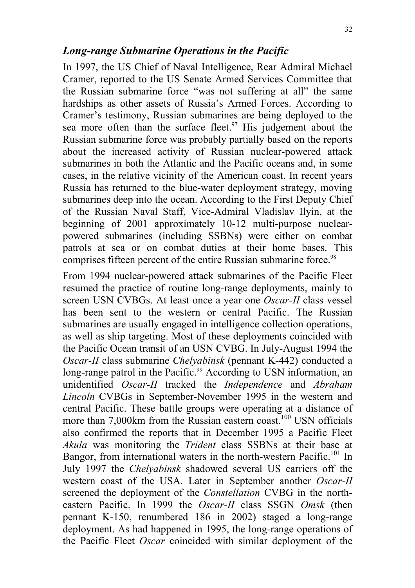#### *Long-range Submarine Operations in the Pacific*

In 1997, the US Chief of Naval Intelligence, Rear Admiral Michael Cramer, reported to the US Senate Armed Services Committee that the Russian submarine force "was not suffering at all" the same hardships as other assets of Russia's Armed Forces. According to Cramer's testimony, Russian submarines are being deployed to the sea more often than the surface fleet. $97$  His judgement about the Russian submarine force was probably partially based on the reports about the increased activity of Russian nuclear-powered attack submarines in both the Atlantic and the Pacific oceans and, in some cases, in the relative vicinity of the American coast. In recent years Russia has returned to the blue-water deployment strategy, moving submarines deep into the ocean. According to the First Deputy Chief of the Russian Naval Staff, Vice-Admiral Vladislav Ilyin, at the beginning of 2001 approximately 10-12 multi-purpose nuclearpowered submarines (including SSBNs) were either on combat patrols at sea or on combat duties at their home bases. This comprises fifteen percent of the entire Russian submarine force.<sup>98</sup>

From 1994 nuclear-powered attack submarines of the Pacific Fleet resumed the practice of routine long-range deployments, mainly to screen USN CVBGs. At least once a year one *Oscar-II* class vessel has been sent to the western or central Pacific. The Russian submarines are usually engaged in intelligence collection operations, as well as ship targeting. Most of these deployments coincided with the Pacific Ocean transit of an USN CVBG. In July-August 1994 the *Oscar-II* class submarine *Chelyabinsk* (pennant K-442) conducted a long-range patrol in the Pacific.<sup>99</sup> According to USN information, an unidentified *Oscar-II* tracked the *Independence* and *Abraham Lincoln* CVBGs in September-November 1995 in the western and central Pacific. These battle groups were operating at a distance of more than 7,000km from the Russian eastern coast.<sup>100</sup> USN officials also confirmed the reports that in December 1995 a Pacific Fleet *Akula* was monitoring the *Trident* class SSBNs at their base at Bangor, from international waters in the north-western Pacific.<sup>101</sup> In July 1997 the *Chelyabinsk* shadowed several US carriers off the western coast of the USA. Later in September another *Oscar-II* screened the deployment of the *Constellation* CVBG in the northeastern Pacific. In 1999 the *Oscar-II* class SSGN *Omsk* (then pennant K-150, renumbered 186 in 2002) staged a long-range deployment. As had happened in 1995, the long-range operations of the Pacific Fleet *Oscar* coincided with similar deployment of the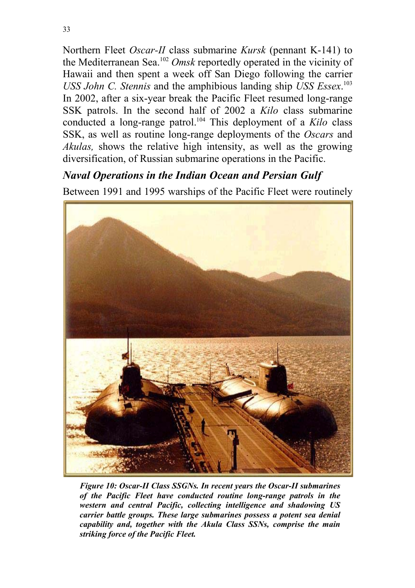Northern Fleet *Oscar-II* class submarine *Kursk* (pennant K-141) to the Mediterranean Sea.102 *Omsk* reportedly operated in the vicinity of Hawaii and then spent a week off San Diego following the carrier *USS John C. Stennis* and the amphibious landing ship *USS Essex*. 103 In 2002, after a six-year break the Pacific Fleet resumed long-range SSK patrols. In the second half of 2002 a *Kilo* class submarine conducted a long-range patrol.104 This deployment of a *Kilo* class SSK, as well as routine long-range deployments of the *Oscars* and *Akulas,* shows the relative high intensity, as well as the growing diversification, of Russian submarine operations in the Pacific.

#### *Naval Operations in the Indian Ocean and Persian Gulf*

Between 1991 and 1995 warships of the Pacific Fleet were routinely



*Figure 10: Oscar-II Class SSGNs. In recent years the Oscar-II submarines of the Pacific Fleet have conducted routine long-range patrols in the western and central Pacific, collecting intelligence and shadowing US carrier battle groups. These large submarines possess a potent sea denial capability and, together with the Akula Class SSNs, comprise the main striking force of the Pacific Fleet.*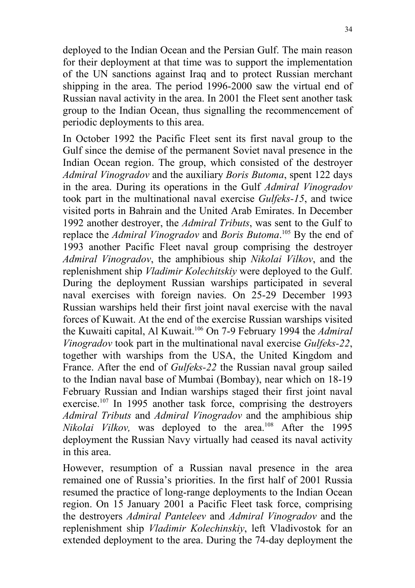deployed to the Indian Ocean and the Persian Gulf. The main reason for their deployment at that time was to support the implementation of the UN sanctions against Iraq and to protect Russian merchant shipping in the area. The period 1996-2000 saw the virtual end of Russian naval activity in the area. In 2001 the Fleet sent another task group to the Indian Ocean, thus signalling the recommencement of periodic deployments to this area.

In October 1992 the Pacific Fleet sent its first naval group to the Gulf since the demise of the permanent Soviet naval presence in the Indian Ocean region. The group, which consisted of the destroyer *Admiral Vinogradov* and the auxiliary *Boris Butoma*, spent 122 days in the area. During its operations in the Gulf *Admiral Vinogradov* took part in the multinational naval exercise *Gulfeks-15*, and twice visited ports in Bahrain and the United Arab Emirates. In December 1992 another destroyer, the *Admiral Tributs*, was sent to the Gulf to replace the *Admiral Vinogradov* and *Boris Butoma*. <sup>105</sup> By the end of 1993 another Pacific Fleet naval group comprising the destroyer *Admiral Vinogradov*, the amphibious ship *Nikolai Vilkov*, and the replenishment ship *Vladimir Kolechitskiy* were deployed to the Gulf. During the deployment Russian warships participated in several naval exercises with foreign navies. On 25-29 December 1993 Russian warships held their first joint naval exercise with the naval forces of Kuwait. At the end of the exercise Russian warships visited the Kuwaiti capital, Al Kuwait.106 On 7-9 February 1994 the *Admiral Vinogradov* took part in the multinational naval exercise *Gulfeks-22*, together with warships from the USA, the United Kingdom and France. After the end of *Gulfeks-22* the Russian naval group sailed to the Indian naval base of Mumbai (Bombay), near which on 18-19 February Russian and Indian warships staged their first joint naval exercise.<sup>107</sup> In 1995 another task force, comprising the destroyers *Admiral Tributs* and *Admiral Vinogradov* and the amphibious ship *Nikolai Vilkov*, was deployed to the area.<sup>108</sup> After the 1995 deployment the Russian Navy virtually had ceased its naval activity in this area.

However, resumption of a Russian naval presence in the area remained one of Russia's priorities. In the first half of 2001 Russia resumed the practice of long-range deployments to the Indian Ocean region. On 15 January 2001 a Pacific Fleet task force, comprising the destroyers *Admiral Panteleev* and *Admiral Vinogradov* and the replenishment ship *Vladimir Kolechinskiy*, left Vladivostok for an extended deployment to the area. During the 74-day deployment the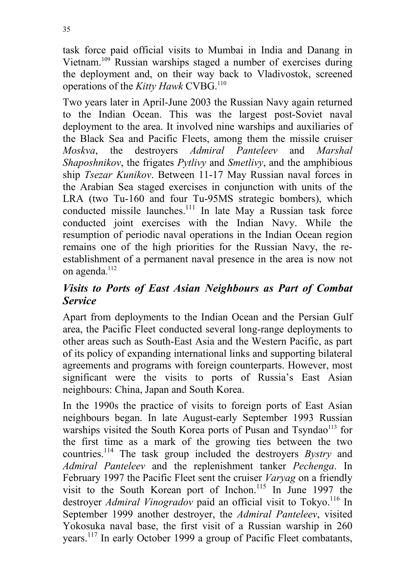task force paid official visits to Mumbai in India and Danang in Vietnam.<sup>109</sup> Russian warships staged a number of exercises during the deployment and, on their way back to Vladivostok, screened operations of the *Kitty Hawk* CVBG.110

Two years later in April-June 2003 the Russian Navy again returned to the Indian Ocean. This was the largest post-Soviet naval deployment to the area. It involved nine warships and auxiliaries of the Black Sea and Pacific Fleets, among them the missile cruiser *Moskva*, the destroyers *Admiral Panteleev* and *Marshal Shaposhnikov*, the frigates *Pytlivy* and *Smetlivy*, and the amphibious ship *Tsezar Kunikov*. Between 11-17 May Russian naval forces in the Arabian Sea staged exercises in conjunction with units of the LRA (two Tu-160 and four Tu-95MS strategic bombers), which conducted missile launches.<sup>111</sup> In late May a Russian task force conducted joint exercises with the Indian Navy. While the resumption of periodic naval operations in the Indian Ocean region remains one of the high priorities for the Russian Navy, the reestablishment of a permanent naval presence in the area is now not on agenda. 112

#### *Visits to Ports of East Asian Neighbours as Part of Combat Service*

Apart from deployments to the Indian Ocean and the Persian Gulf area, the Pacific Fleet conducted several long-range deployments to other areas such as South-East Asia and the Western Pacific, as part of its policy of expanding international links and supporting bilateral agreements and programs with foreign counterparts. However, most significant were the visits to ports of Russia's East Asian neighbours: China, Japan and South Korea.

In the 1990s the practice of visits to foreign ports of East Asian neighbours began. In late August-early September 1993 Russian warships visited the South Korea ports of Pusan and Tsyndao<sup>113</sup> for the first time as a mark of the growing ties between the two countries.114 The task group included the destroyers *Bystry* and *Admiral Panteleev* and the replenishment tanker *Pechenga*. In February 1997 the Pacific Fleet sent the cruiser *Varyag* on a friendly visit to the South Korean port of Inchon.<sup>115</sup> In June 1997 the destroyer *Admiral Vinogradov* paid an official visit to Tokyo.<sup>116</sup> In September 1999 another destroyer, the *Admiral Panteleev*, visited Yokosuka naval base, the first visit of a Russian warship in 260 years.117 In early October 1999 a group of Pacific Fleet combatants,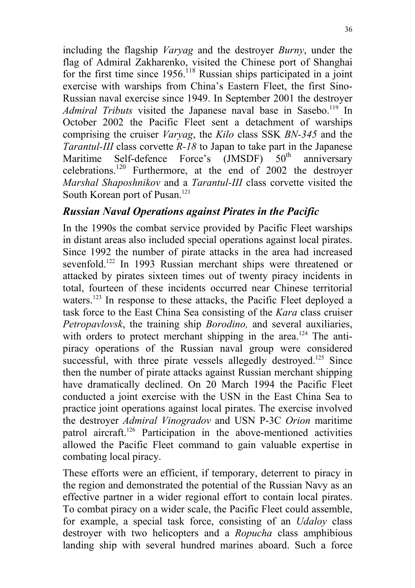including the flagship *Varyag* and the destroyer *Burny*, under the flag of Admiral Zakharenko, visited the Chinese port of Shanghai for the first time since  $1956$ <sup>118</sup> Russian ships participated in a joint exercise with warships from China's Eastern Fleet, the first Sino-Russian naval exercise since 1949. In September 2001 the destroyer *Admiral Tributs* visited the Japanese naval base in Sasebo.<sup>119</sup> In October 2002 the Pacific Fleet sent a detachment of warships comprising the cruiser *Varyag*, the *Kilo* class SSK *BN-345* and the *Tarantul-III* class corvette *R-18* to Japan to take part in the Japanese Maritime Self-defence Force's  $(JMSDF)$  50<sup>th</sup> anniversary celebrations.120 Furthermore, at the end of 2002 the destroyer *Marshal Shaposhnikov* and a *Tarantul-III* class corvette visited the South Korean port of Pusan.<sup>121</sup>

#### *Russian Naval Operations against Pirates in the Pacific*

In the 1990s the combat service provided by Pacific Fleet warships in distant areas also included special operations against local pirates. Since 1992 the number of pirate attacks in the area had increased sevenfold.<sup>122</sup> In 1993 Russian merchant ships were threatened or attacked by pirates sixteen times out of twenty piracy incidents in total, fourteen of these incidents occurred near Chinese territorial waters.<sup>123</sup> In response to these attacks, the Pacific Fleet deployed a task force to the East China Sea consisting of the *Kara* class cruiser *Petropavlovsk*, the training ship *Borodino,* and several auxiliaries, with orders to protect merchant shipping in the area.<sup>124</sup> The antipiracy operations of the Russian naval group were considered successful, with three pirate vessels allegedly destroyed.<sup>125</sup> Since then the number of pirate attacks against Russian merchant shipping have dramatically declined. On 20 March 1994 the Pacific Fleet conducted a joint exercise with the USN in the East China Sea to practice joint operations against local pirates. The exercise involved the destroyer *Admiral Vinogradov* and USN P-3C *Orion* maritime patrol aircraft.126 Participation in the above-mentioned activities allowed the Pacific Fleet command to gain valuable expertise in combating local piracy.

These efforts were an efficient, if temporary, deterrent to piracy in the region and demonstrated the potential of the Russian Navy as an effective partner in a wider regional effort to contain local pirates. To combat piracy on a wider scale, the Pacific Fleet could assemble, for example, a special task force, consisting of an *Udaloy* class destroyer with two helicopters and a *Ropucha* class amphibious landing ship with several hundred marines aboard. Such a force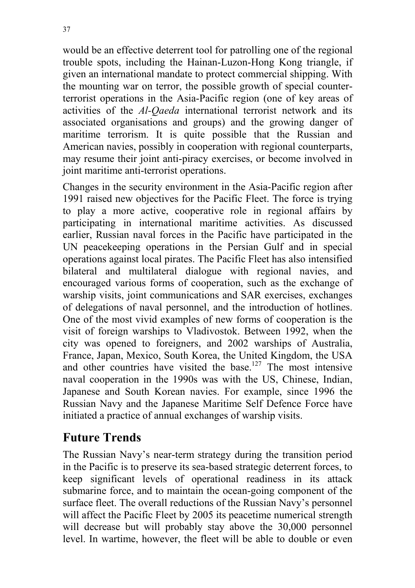would be an effective deterrent tool for patrolling one of the regional trouble spots, including the Hainan-Luzon-Hong Kong triangle, if given an international mandate to protect commercial shipping. With the mounting war on terror, the possible growth of special counterterrorist operations in the Asia-Pacific region (one of key areas of activities of the *Al-Qaeda* international terrorist network and its associated organisations and groups) and the growing danger of maritime terrorism. It is quite possible that the Russian and American navies, possibly in cooperation with regional counterparts, may resume their joint anti-piracy exercises, or become involved in joint maritime anti-terrorist operations.

Changes in the security environment in the Asia-Pacific region after 1991 raised new objectives for the Pacific Fleet. The force is trying to play a more active, cooperative role in regional affairs by participating in international maritime activities. As discussed earlier, Russian naval forces in the Pacific have participated in the UN peacekeeping operations in the Persian Gulf and in special operations against local pirates. The Pacific Fleet has also intensified bilateral and multilateral dialogue with regional navies, and encouraged various forms of cooperation, such as the exchange of warship visits, joint communications and SAR exercises, exchanges of delegations of naval personnel, and the introduction of hotlines. One of the most vivid examples of new forms of cooperation is the visit of foreign warships to Vladivostok. Between 1992, when the city was opened to foreigners, and 2002 warships of Australia, France, Japan, Mexico, South Korea, the United Kingdom, the USA and other countries have visited the base.<sup>127</sup> The most intensive naval cooperation in the 1990s was with the US, Chinese, Indian, Japanese and South Korean navies. For example, since 1996 the Russian Navy and the Japanese Maritime Self Defence Force have initiated a practice of annual exchanges of warship visits.

## **Future Trends**

The Russian Navy's near-term strategy during the transition period in the Pacific is to preserve its sea-based strategic deterrent forces, to keep significant levels of operational readiness in its attack submarine force, and to maintain the ocean-going component of the surface fleet. The overall reductions of the Russian Navy's personnel will affect the Pacific Fleet by 2005 its peacetime numerical strength will decrease but will probably stay above the 30,000 personnel level. In wartime, however, the fleet will be able to double or even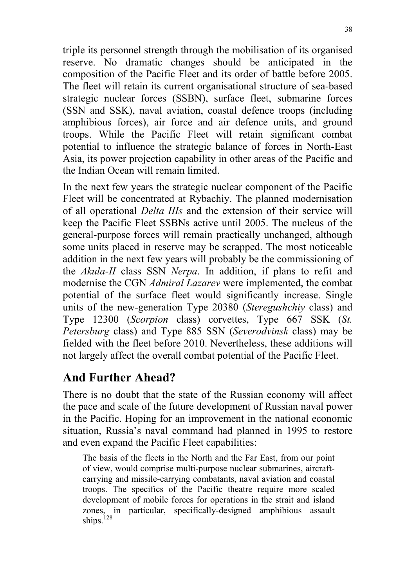triple its personnel strength through the mobilisation of its organised reserve. No dramatic changes should be anticipated in the composition of the Pacific Fleet and its order of battle before 2005. The fleet will retain its current organisational structure of sea-based strategic nuclear forces (SSBN), surface fleet, submarine forces (SSN and SSK), naval aviation, coastal defence troops (including amphibious forces), air force and air defence units, and ground troops. While the Pacific Fleet will retain significant combat potential to influence the strategic balance of forces in North-East Asia, its power projection capability in other areas of the Pacific and the Indian Ocean will remain limited.

In the next few years the strategic nuclear component of the Pacific Fleet will be concentrated at Rybachiy. The planned modernisation of all operational *Delta IIIs* and the extension of their service will keep the Pacific Fleet SSBNs active until 2005. The nucleus of the general-purpose forces will remain practically unchanged, although some units placed in reserve may be scrapped. The most noticeable addition in the next few years will probably be the commissioning of the *Akula-II* class SSN *Nerpa*. In addition, if plans to refit and modernise the CGN *Admiral Lazarev* were implemented, the combat potential of the surface fleet would significantly increase. Single units of the new-generation Type 20380 (*Steregushchiy* class) and Type 12300 (*Scorpion* class) corvettes, Type 667 SSK (*St. Petersburg* class) and Type 885 SSN (*Severodvinsk* class) may be fielded with the fleet before 2010. Nevertheless, these additions will not largely affect the overall combat potential of the Pacific Fleet.

## **And Further Ahead?**

There is no doubt that the state of the Russian economy will affect the pace and scale of the future development of Russian naval power in the Pacific. Hoping for an improvement in the national economic situation, Russia's naval command had planned in 1995 to restore and even expand the Pacific Fleet capabilities:

The basis of the fleets in the North and the Far East, from our point of view, would comprise multi-purpose nuclear submarines, aircraftcarrying and missile-carrying combatants, naval aviation and coastal troops. The specifics of the Pacific theatre require more scaled development of mobile forces for operations in the strait and island zones, in particular, specifically-designed amphibious assault ships.<sup>128</sup>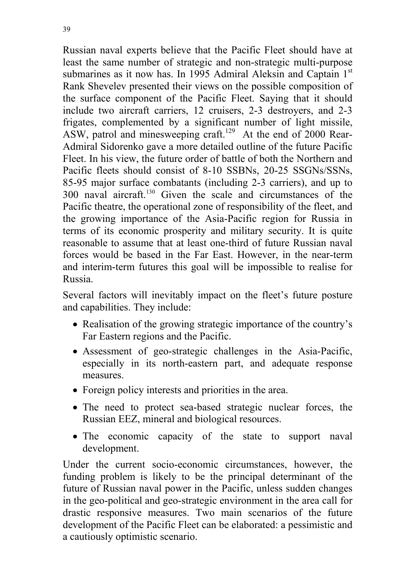Russian naval experts believe that the Pacific Fleet should have at least the same number of strategic and non-strategic multi-purpose submarines as it now has. In 1995 Admiral Aleksin and Captain 1<sup>st</sup> Rank Shevelev presented their views on the possible composition of the surface component of the Pacific Fleet. Saying that it should include two aircraft carriers, 12 cruisers, 2-3 destroyers, and 2-3 frigates, complemented by a significant number of light missile, ASW, patrol and minesweeping craft.<sup>129</sup> At the end of 2000 Rear-Admiral Sidorenko gave a more detailed outline of the future Pacific Fleet. In his view, the future order of battle of both the Northern and Pacific fleets should consist of 8-10 SSBNs, 20-25 SSGNs/SSNs, 85-95 major surface combatants (including 2-3 carriers), and up to 300 naval aircraft.130 Given the scale and circumstances of the Pacific theatre, the operational zone of responsibility of the fleet, and the growing importance of the Asia-Pacific region for Russia in terms of its economic prosperity and military security. It is quite reasonable to assume that at least one-third of future Russian naval forces would be based in the Far East. However, in the near-term and interim-term futures this goal will be impossible to realise for Russia.

Several factors will inevitably impact on the fleet's future posture and capabilities. They include:

- Realisation of the growing strategic importance of the country's Far Eastern regions and the Pacific.
- Assessment of geo-strategic challenges in the Asia-Pacific, especially in its north-eastern part, and adequate response measures.
- Foreign policy interests and priorities in the area.
- The need to protect sea-based strategic nuclear forces, the Russian EEZ, mineral and biological resources.
- The economic capacity of the state to support naval development.

Under the current socio-economic circumstances, however, the funding problem is likely to be the principal determinant of the future of Russian naval power in the Pacific, unless sudden changes in the geo-political and geo-strategic environment in the area call for drastic responsive measures. Two main scenarios of the future development of the Pacific Fleet can be elaborated: a pessimistic and a cautiously optimistic scenario.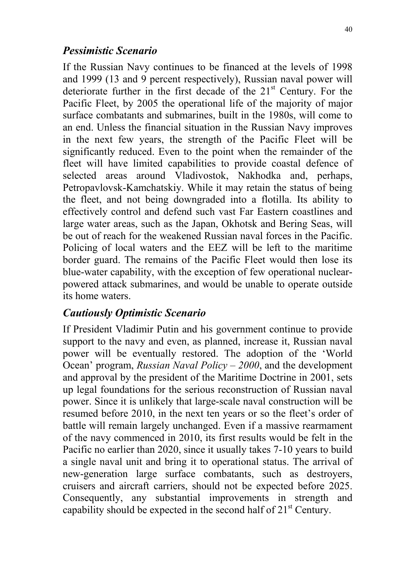#### *Pessimistic Scenario*

If the Russian Navy continues to be financed at the levels of 1998 and 1999 (13 and 9 percent respectively), Russian naval power will deteriorate further in the first decade of the 21<sup>st</sup> Century. For the Pacific Fleet, by 2005 the operational life of the majority of major surface combatants and submarines, built in the 1980s, will come to an end. Unless the financial situation in the Russian Navy improves in the next few years, the strength of the Pacific Fleet will be significantly reduced. Even to the point when the remainder of the fleet will have limited capabilities to provide coastal defence of selected areas around Vladivostok, Nakhodka and, perhaps, Petropavlovsk-Kamchatskiy. While it may retain the status of being the fleet, and not being downgraded into a flotilla. Its ability to effectively control and defend such vast Far Eastern coastlines and large water areas, such as the Japan, Okhotsk and Bering Seas, will be out of reach for the weakened Russian naval forces in the Pacific. Policing of local waters and the EEZ will be left to the maritime border guard. The remains of the Pacific Fleet would then lose its blue-water capability, with the exception of few operational nuclearpowered attack submarines, and would be unable to operate outside its home waters.

#### *Cautiously Optimistic Scenario*

If President Vladimir Putin and his government continue to provide support to the navy and even, as planned, increase it, Russian naval power will be eventually restored. The adoption of the 'World Ocean' program, *Russian Naval Policy – 2000*, and the development and approval by the president of the Maritime Doctrine in 2001, sets up legal foundations for the serious reconstruction of Russian naval power. Since it is unlikely that large-scale naval construction will be resumed before 2010, in the next ten years or so the fleet's order of battle will remain largely unchanged. Even if a massive rearmament of the navy commenced in 2010, its first results would be felt in the Pacific no earlier than 2020, since it usually takes 7-10 years to build a single naval unit and bring it to operational status. The arrival of new-generation large surface combatants, such as destroyers, cruisers and aircraft carriers, should not be expected before 2025. Consequently, any substantial improvements in strength and capability should be expected in the second half of  $21<sup>st</sup>$  Century.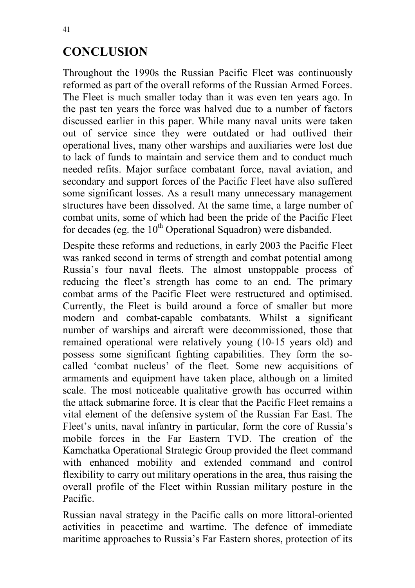## **CONCLUSION**

Throughout the 1990s the Russian Pacific Fleet was continuously reformed as part of the overall reforms of the Russian Armed Forces. The Fleet is much smaller today than it was even ten years ago. In the past ten years the force was halved due to a number of factors discussed earlier in this paper. While many naval units were taken out of service since they were outdated or had outlived their operational lives, many other warships and auxiliaries were lost due to lack of funds to maintain and service them and to conduct much needed refits. Major surface combatant force, naval aviation, and secondary and support forces of the Pacific Fleet have also suffered some significant losses. As a result many unnecessary management structures have been dissolved. At the same time, a large number of combat units, some of which had been the pride of the Pacific Fleet for decades (eg. the  $10<sup>th</sup>$  Operational Squadron) were disbanded.

Despite these reforms and reductions, in early 2003 the Pacific Fleet was ranked second in terms of strength and combat potential among Russia's four naval fleets. The almost unstoppable process of reducing the fleet's strength has come to an end. The primary combat arms of the Pacific Fleet were restructured and optimised. Currently, the Fleet is build around a force of smaller but more modern and combat-capable combatants. Whilst a significant number of warships and aircraft were decommissioned, those that remained operational were relatively young (10-15 years old) and possess some significant fighting capabilities. They form the socalled 'combat nucleus' of the fleet. Some new acquisitions of armaments and equipment have taken place, although on a limited scale. The most noticeable qualitative growth has occurred within the attack submarine force. It is clear that the Pacific Fleet remains a vital element of the defensive system of the Russian Far East. The Fleet's units, naval infantry in particular, form the core of Russia's mobile forces in the Far Eastern TVD. The creation of the Kamchatka Operational Strategic Group provided the fleet command with enhanced mobility and extended command and control flexibility to carry out military operations in the area, thus raising the overall profile of the Fleet within Russian military posture in the Pacific.

Russian naval strategy in the Pacific calls on more littoral-oriented activities in peacetime and wartime. The defence of immediate maritime approaches to Russia's Far Eastern shores, protection of its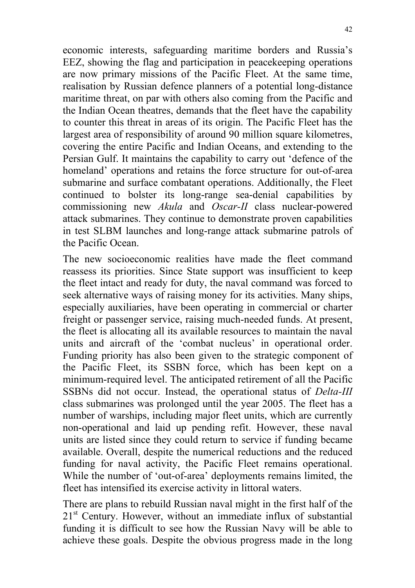economic interests, safeguarding maritime borders and Russia's EEZ, showing the flag and participation in peacekeeping operations are now primary missions of the Pacific Fleet. At the same time, realisation by Russian defence planners of a potential long-distance maritime threat, on par with others also coming from the Pacific and the Indian Ocean theatres, demands that the fleet have the capability to counter this threat in areas of its origin. The Pacific Fleet has the largest area of responsibility of around 90 million square kilometres, covering the entire Pacific and Indian Oceans, and extending to the Persian Gulf. It maintains the capability to carry out 'defence of the homeland' operations and retains the force structure for out-of-area submarine and surface combatant operations. Additionally, the Fleet continued to bolster its long-range sea-denial capabilities by commissioning new *Akula* and *Oscar-II* class nuclear-powered attack submarines. They continue to demonstrate proven capabilities in test SLBM launches and long-range attack submarine patrols of the Pacific Ocean.

The new socioeconomic realities have made the fleet command reassess its priorities. Since State support was insufficient to keep the fleet intact and ready for duty, the naval command was forced to seek alternative ways of raising money for its activities. Many ships, especially auxiliaries, have been operating in commercial or charter freight or passenger service, raising much-needed funds. At present, the fleet is allocating all its available resources to maintain the naval units and aircraft of the 'combat nucleus' in operational order. Funding priority has also been given to the strategic component of the Pacific Fleet, its SSBN force, which has been kept on a minimum-required level. The anticipated retirement of all the Pacific SSBNs did not occur. Instead, the operational status of *Delta-III* class submarines was prolonged until the year 2005. The fleet has a number of warships, including major fleet units, which are currently non-operational and laid up pending refit. However, these naval units are listed since they could return to service if funding became available. Overall, despite the numerical reductions and the reduced funding for naval activity, the Pacific Fleet remains operational. While the number of 'out-of-area' deployments remains limited, the fleet has intensified its exercise activity in littoral waters.

There are plans to rebuild Russian naval might in the first half of the  $21<sup>st</sup>$  Century. However, without an immediate influx of substantial funding it is difficult to see how the Russian Navy will be able to achieve these goals. Despite the obvious progress made in the long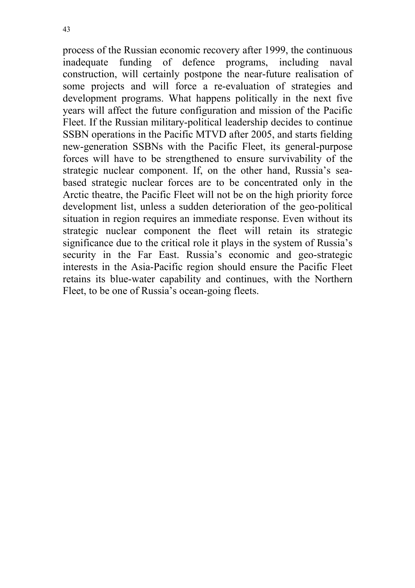43

process of the Russian economic recovery after 1999, the continuous inadequate funding of defence programs, including naval construction, will certainly postpone the near-future realisation of some projects and will force a re-evaluation of strategies and development programs. What happens politically in the next five years will affect the future configuration and mission of the Pacific Fleet. If the Russian military-political leadership decides to continue SSBN operations in the Pacific MTVD after 2005, and starts fielding new-generation SSBNs with the Pacific Fleet, its general-purpose forces will have to be strengthened to ensure survivability of the strategic nuclear component. If, on the other hand, Russia's seabased strategic nuclear forces are to be concentrated only in the Arctic theatre, the Pacific Fleet will not be on the high priority force development list, unless a sudden deterioration of the geo-political situation in region requires an immediate response. Even without its strategic nuclear component the fleet will retain its strategic significance due to the critical role it plays in the system of Russia's security in the Far East. Russia's economic and geo-strategic interests in the Asia-Pacific region should ensure the Pacific Fleet retains its blue-water capability and continues, with the Northern Fleet, to be one of Russia's ocean-going fleets.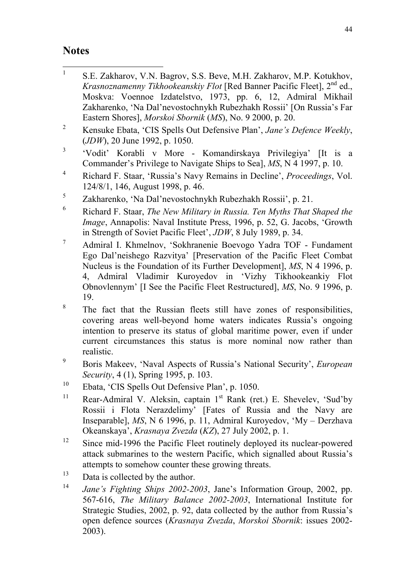#### **Notes**

- $\frac{1}{1}$  S.E. Zakharov, V.N. Bagrov, S.S. Beve, M.H. Zakharov, M.P. Kotukhov, *Krasnoznamenny Tikhookeanskiy Flot* [Red Banner Pacific Fleet], 2<sup>nd</sup> ed., Moskva: Voennoe Izdatelstvo, 1973, pp. 6, 12, Admiral Mikhail Zakharenko, 'Na Dal'nevostochnykh Rubezhakh Rossii' [On Russia's Far Eastern Shores], *Morskoi Sbornik* (*MS*), No. 9 2000, p. 20.
- 2 Kensuke Ebata, 'CIS Spells Out Defensive Plan', *Jane's Defence Weekly*, (*JDW*), 20 June 1992, p. 1050.
- 3 'Vodit' Korabli v More - Komandirskaya Privilegiya' [It is a Commander's Privilege to Navigate Ships to Sea], *MS*, N 4 1997, p. 10.
- 4 Richard F. Staar, 'Russia's Navy Remains in Decline', *Proceedings*, Vol. 124/8/1, 146, August 1998, p. 46.
- 5 Zakharenko, 'Na Dal'nevostochnykh Rubezhakh Rossii', p. 21.
- 6 Richard F. Staar, *The New Military in Russia. Ten Myths That Shaped the Image*, Annapolis: Naval Institute Press, 1996, p. 52, G. Jacobs, 'Growth in Strength of Soviet Pacific Fleet', *JDW*, 8 July 1989, p. 34.
- 7 Admiral I. Khmelnov, 'Sokhranenie Boevogo Yadra TOF - Fundament Ego Dal'neishego Razvitya' [Preservation of the Pacific Fleet Combat Nucleus is the Foundation of its Further Development], *MS*, N 4 1996, p. 4, Admiral Vladimir Kuroyedov in 'Vizhy Tikhookeankiy Flot Obnovlennym' [I See the Pacific Fleet Restructured], *MS*, No. 9 1996, p. 19.
- 8 The fact that the Russian fleets still have zones of responsibilities, covering areas well-beyond home waters indicates Russia's ongoing intention to preserve its status of global maritime power, even if under current circumstances this status is more nominal now rather than realistic.
- 9 Boris Makeev, 'Naval Aspects of Russia's National Security', *European Security*, 4 (1), Spring 1995, p. 103.
- 10 Ebata, 'CIS Spells Out Defensive Plan', p. 1050.
- <sup>11</sup> Rear-Admiral V. Aleksin, captain  $1<sup>st</sup>$  Rank (ret.) E. Shevelev, 'Sud'by Rossii i Flota Nerazdelimy' [Fates of Russia and the Navy are Inseparable], *MS*, N 6 1996, p. 11, Admiral Kuroyedov, 'My – Derzhava Okeanskaya', *Krasnaya Zvezda* (*KZ*), 27 July 2002, p. 1.
- <sup>12</sup> Since mid-1996 the Pacific Fleet routinely deployed its nuclear-powered attack submarines to the western Pacific, which signalled about Russia's attempts to somehow counter these growing threats.
- $13$  Data is collected by the author.
- <sup>14</sup> *Jane's Fighting Ships 2002-2003*, Jane's Information Group, 2002, pp. 567-616, *The Military Balance 2002-2003*, International Institute for Strategic Studies, 2002, p. 92, data collected by the author from Russia's open defence sources (*Krasnaya Zvezda*, *Morskoi Sbornik*: issues 2002- 2003).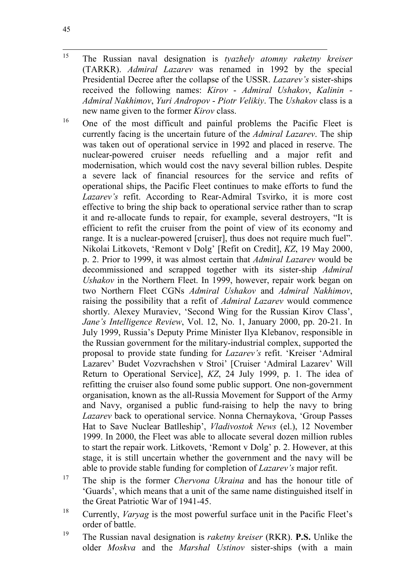15 15 The Russian naval designation is *tyazhely atomny raketny kreiser* (TARKR). *Admiral Lazarev* was renamed in 1992 by the special Presidential Decree after the collapse of the USSR. *Lazarev's* sister-ships received the following names: *Kirov* - *Admiral Ushakov*, *Kalinin* - *Admiral Nakhimov*, *Yuri Andropov* - *Piotr Velikiy*. The *Ushakov* class is a new name given to the former *Kirov* class.

<sup>16</sup> One of the most difficult and painful problems the Pacific Fleet is currently facing is the uncertain future of the *Admiral Lazarev*. The ship was taken out of operational service in 1992 and placed in reserve. The nuclear-powered cruiser needs refuelling and a major refit and modernisation, which would cost the navy several billion rubles. Despite a severe lack of financial resources for the service and refits of operational ships, the Pacific Fleet continues to make efforts to fund the *Lazarev's* refit. According to Rear-Admiral Tsvirko, it is more cost effective to bring the ship back to operational service rather than to scrap it and re-allocate funds to repair, for example, several destroyers, "It is efficient to refit the cruiser from the point of view of its economy and range. It is a nuclear-powered [cruiser], thus does not require much fuel". Nikolai Litkovets, 'Remont v Dolg' [Refit on Credit], *KZ*, 19 May 2000, p. 2. Prior to 1999, it was almost certain that *Admiral Lazarev* would be decommissioned and scrapped together with its sister-ship *Admiral Ushakov* in the Northern Fleet. In 1999, however, repair work began on two Northern Fleet CGNs *Admiral Ushakov* and *Admiral Nakhimov*, raising the possibility that a refit of *Admiral Lazarev* would commence shortly. Alexey Muraviev, 'Second Wing for the Russian Kirov Class', *Jane's Intelligence Review*, Vol. 12, No. 1, January 2000, pp. 20-21. In July 1999, Russia's Deputy Prime Minister Ilya Klebanov, responsible in the Russian government for the military-industrial complex, supported the proposal to provide state funding for *Lazarev's* refit. 'Kreiser 'Admiral Lazarev' Budet Vozvrachshen v Stroi' [Cruiser 'Admiral Lazarev' Will Return to Operational Service], *KZ*, 24 July 1999, p. 1. The idea of refitting the cruiser also found some public support. One non-government organisation, known as the all-Russia Movement for Support of the Army and Navy, organised a public fund-raising to help the navy to bring *Lazarev* back to operational service. Nonna Chernaykova, 'Group Passes Hat to Save Nuclear Batlleship', *Vladivostok News* (el.), 12 November 1999. In 2000, the Fleet was able to allocate several dozen million rubles to start the repair work. Litkovets, 'Remont v Dolg' p. 2. However, at this stage, it is still uncertain whether the government and the navy will be able to provide stable funding for completion of *Lazarev's* major refit.

- 17 The ship is the former *Chervona Ukraina* and has the honour title of 'Guards', which means that a unit of the same name distinguished itself in the Great Patriotic War of 1941-45.
- 18 Currently, *Varyag* is the most powerful surface unit in the Pacific Fleet's order of battle.
- 19 The Russian naval designation is *raketny kreiser* (RKR). **P.S.** Unlike the older *Moskva* and the *Marshal Ustinov* sister-ships (with a main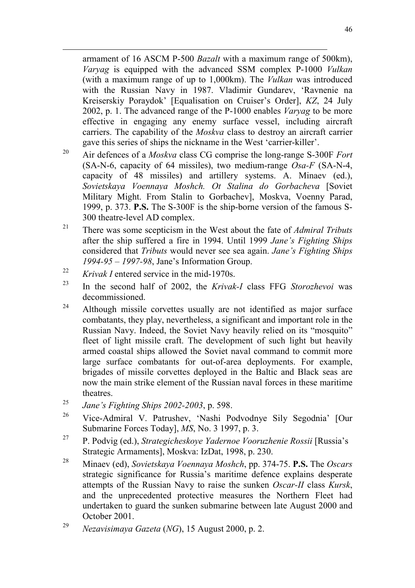armament of 16 ASCM P-500 *Bazalt* with a maximum range of 500km), *Varyag* is equipped with the advanced SSM complex P-1000 *Vulkan* (with a maximum range of up to 1,000km). The *Vulkan* was introduced with the Russian Navy in 1987. Vladimir Gundarev, 'Ravnenie na Kreiserskiy Poraydok' [Equalisation on Cruiser's Order], *KZ*, 24 July 2002, p. 1. The advanced range of the P-1000 enables *Varyag* to be more effective in engaging any enemy surface vessel, including aircraft carriers. The capability of the *Moskva* class to destroy an aircraft carrier gave this series of ships the nickname in the West 'carrier-killer'.

- 20 Air defences of a *Moskva* class CG comprise the long-range S-300F *Fort* (SA-N-6, capacity of 64 missiles), two medium-range *Osa-F* (SA-N-4, capacity of 48 missiles) and artillery systems. A. Minaev (ed.), *Sovietskaya Voennaya Moshch. Ot Stalina do Gorbacheva* [Soviet Military Might. From Stalin to Gorbachev], Moskva, Voenny Parad, 1999, p. 373. **P.S.** The S-300F is the ship-borne version of the famous S-300 theatre-level AD complex.
- 21 There was some scepticism in the West about the fate of *Admiral Tributs* after the ship suffered a fire in 1994. Until 1999 *Jane's Fighting Ships* considered that *Tributs* would never see sea again. *Jane's Fighting Ships 1994-95* – *1997-98*, Jane's Information Group.
- <sup>22</sup> *Krivak I* entered service in the mid-1970s.

 $\overline{a}$ 

- 23 In the second half of 2002, the *Krivak-I* class FFG *Storozhevoi* was decommissioned.
- <sup>24</sup> Although missile corvettes usually are not identified as major surface combatants, they play, nevertheless, a significant and important role in the Russian Navy. Indeed, the Soviet Navy heavily relied on its "mosquito" fleet of light missile craft. The development of such light but heavily armed coastal ships allowed the Soviet naval command to commit more large surface combatants for out-of-area deployments. For example, brigades of missile corvettes deployed in the Baltic and Black seas are now the main strike element of the Russian naval forces in these maritime theatres.
- <sup>25</sup> *Jane's Fighting Ships 2002-2003*, p. 598.
- 26 Vice-Admiral V. Patrushev, 'Nashi Podvodnye Sily Segodnia' [Our Submarine Forces Today], *MS*, No. 3 1997, p. 3.
- 27 P. Podvig (ed.), *Strategicheskoye Yadernoe Vooruzhenie Rossii* [Russia's Strategic Armaments], Moskva: IzDat, 1998, p. 230.
- 28 Minaev (ed), *Sovietskaya Voennaya Moshch*, pp. 374-75. **P.S.** The *Oscars* strategic significance for Russia's maritime defence explains desperate attempts of the Russian Navy to raise the sunken *Oscar-II* class *Kursk*, and the unprecedented protective measures the Northern Fleet had undertaken to guard the sunken submarine between late August 2000 and October 2001.

<sup>29</sup> *Nezavisimaya Gazeta* (*NG*), 15 August 2000, p. 2.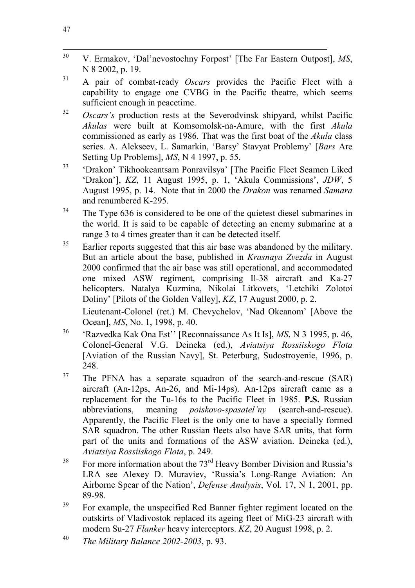- 30 30 V. Ermakov, 'Dal'nevostochny Forpost' [The Far Eastern Outpost], *MS*, N 8 2002, p. 19.
- 31 A pair of combat-ready *Oscars* provides the Pacific Fleet with a capability to engage one CVBG in the Pacific theatre, which seems sufficient enough in peacetime.
- <sup>32</sup> *Oscars's* production rests at the Severodvinsk shipyard, whilst Pacific *Akulas* were built at Komsomolsk-na-Amure, with the first *Akula* commissioned as early as 1986. That was the first boat of the *Akula* class series. A. Alekseev, L. Samarkin, 'Barsy' Stavyat Problemy' [*Bars* Are Setting Up Problems], *MS*, N 4 1997, p. 55.
- 33 'Drakon' Tikhookeantsam Ponravilsya' [The Pacific Fleet Seamen Liked 'Drakon'], *KZ*, 11 August 1995, p. 1, 'Akula Commissions', *JDW*, 5 August 1995, p. 14. Note that in 2000 the *Drakon* was renamed *Samara* and renumbered K-295.
- $34$  The Type 636 is considered to be one of the quietest diesel submarines in the world. It is said to be capable of detecting an enemy submarine at a range 3 to 4 times greater than it can be detected itself.
- $35$  Earlier reports suggested that this air base was abandoned by the military. But an article about the base, published in *Krasnaya Zvezda* in August 2000 confirmed that the air base was still operational, and accommodated one mixed ASW regiment, comprising Il-38 aircraft and Ka-27 helicopters. Natalya Kuzmina, Nikolai Litkovets, 'Letchiki Zolotoi Doliny' [Pilots of the Golden Valley], *KZ*, 17 August 2000, p. 2. Lieutenant-Colonel (ret.) M. Chevychelov, 'Nad Okeanom' [Above the
- Ocean], *MS*, No. 1, 1998, p. 40. 36 'Razvedka Kak Ona Est'' [Reconnaissance As It Is], *MS*, N 3 1995, p. 46,
- Colonel-General V.G. Deineka (ed.), *Aviatsiya Rossiiskogo Flota* [Aviation of the Russian Navy], St. Peterburg, Sudostroyenie, 1996, p. 248.
- $37$  The PFNA has a separate squadron of the search-and-rescue (SAR) aircraft (An-12ps, An-26, and Mi-14ps). An-12ps aircraft came as a replacement for the Tu-16s to the Pacific Fleet in 1985. **P.S.** Russian abbreviations, meaning *poiskovo-spasatel'ny* (search-and-rescue). Apparently, the Pacific Fleet is the only one to have a specially formed SAR squadron. The other Russian fleets also have SAR units, that form part of the units and formations of the ASW aviation. Deineka (ed.), *Aviatsiya Rossiiskogo Flota*, p. 249.
- <sup>38</sup> For more information about the 73<sup>rd</sup> Heavy Bomber Division and Russia's LRA see Alexey D. Muraviev, 'Russia's Long-Range Aviation: An Airborne Spear of the Nation', *Defense Analysis*, Vol. 17, N 1, 2001, pp. 89-98.
- <sup>39</sup> For example, the unspecified Red Banner fighter regiment located on the outskirts of Vladivostok replaced its ageing fleet of MiG-23 aircraft with modern Su-27 *Flanker* heavy interceptors. *KZ*, 20 August 1998, p. 2.

<sup>40</sup> *The Military Balance 2002-2003*, p. 93.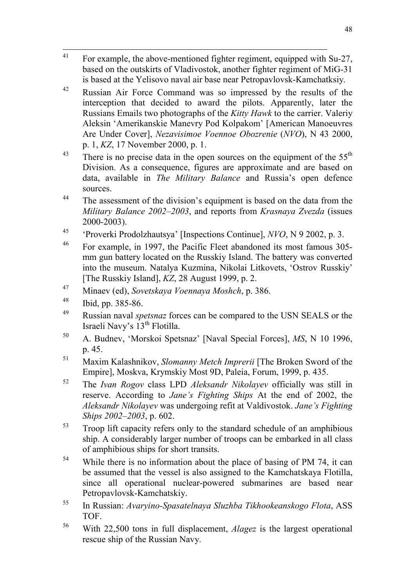- 41 41 For example, the above-mentioned fighter regiment, equipped with Su-27, based on the outskirts of Vladivostok, another fighter regiment of MiG-31 is based at the Yelisovo naval air base near Petropavlovsk-Kamchatksiy.
- 42 Russian Air Force Command was so impressed by the results of the interception that decided to award the pilots. Apparently, later the Russians Emails two photographs of the *Kitty Hawk* to the carrier. Valeriy Aleksin 'Amerikanskie Manevry Pod Kolpakom' [American Manoeuvres Are Under Cover], *Nezavisimoe Voennoe Obozrenie* (*NVO*), N 43 2000, p. 1, *KZ*, 17 November 2000, p. 1.
- <sup>43</sup> There is no precise data in the open sources on the equipment of the  $55<sup>th</sup>$ Division. As a consequence, figures are approximate and are based on data, available in *The Military Balance* and Russia's open defence sources.
- <sup>44</sup> The assessment of the division's equipment is based on the data from the *Military Balance 2002–2003*, and reports from *Krasnaya Zvezda* (issues 2000-2003).
- 45 'Proverki Prodolzhautsya' [Inspections Continue], *NVO*, N 9 2002, p. 3.
- 46 For example, in 1997, the Pacific Fleet abandoned its most famous 305 mm gun battery located on the Russkiy Island. The battery was converted into the museum. Natalya Kuzmina, Nikolai Litkovets, 'Ostrov Russkiy' [The Russkiy Island], *KZ*, 28 August 1999, p. 2.
- 47 Minaev (ed), *Sovetskaya Voennaya Moshch*, p. 386.
- 48 Ibid, pp. 385-86.
- 49 Russian naval *spetsnaz* forces can be compared to the USN SEALS or the Israeli Navy's 13<sup>th</sup> Flotilla.
- 50 A. Budnev, 'Morskoi Spetsnaz' [Naval Special Forces], *MS*, N 10 1996, p. 45.
- 51 Maxim Kalashnikov, *Slomanny Metch Imprerii* [The Broken Sword of the Empire], Moskva, Krymskiy Most 9D, Paleia, Forum, 1999, p. 435.
- 52 The *Ivan Rogov* class LPD *Aleksandr Nikolayev* officially was still in reserve. According to *Jane's Fighting Ships* At the end of 2002, the *Aleksandr Nikolayev* was undergoing refit at Valdivostok. *Jane's Fighting Ships 2002–2003*, p. 602.
- $53$  Troop lift capacity refers only to the standard schedule of an amphibious ship. A considerably larger number of troops can be embarked in all class of amphibious ships for short transits.
- <sup>54</sup> While there is no information about the place of basing of PM 74, it can be assumed that the vessel is also assigned to the Kamchatskaya Flotilla, since all operational nuclear-powered submarines are based near Petropavlovsk-Kamchatskiy.
- 55 In Russian: *Avaryino-Spasatelnaya Sluzhba Tikhookeanskogo Flota*, ASS TOF.
- 56 With 22,500 tons in full displacement, *Alagez* is the largest operational rescue ship of the Russian Navy.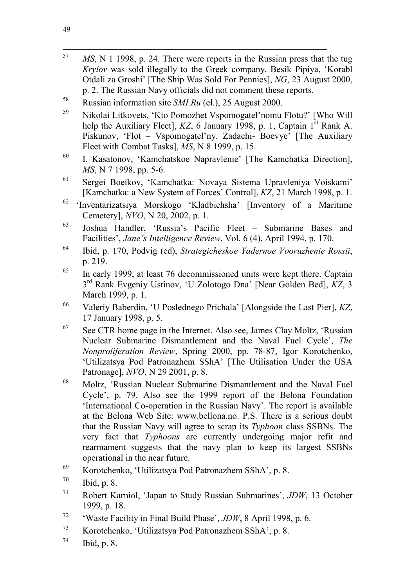- 57 MS, N 1 1998, p. 24. There were reports in the Russian press that the tug *Krylov* was sold illegally to the Greek company. Besik Pipiya, 'Korabl Otdali za Groshi' [The Ship Was Sold For Pennies], *NG*, 23 August 2000, p. 2. The Russian Navy officials did not comment these reports. 58 Russian information site *SMI.Ru* (el.), 25 August 2000.
- 59 Nikolai Litkovets, 'Kto Pomozhet Vspomogatel'nomu Flotu?' [Who Will help the Auxiliary Fleet],  $KZ$ , 6 January 1998, p. 1, Captain  $1<sup>st</sup>$  Rank A. Piskunov, 'Flot – Vspomogatel'ny. Zadachi- Boevye' [The Auxiliary Fleet with Combat Tasks], *MS*, N 8 1999, p. 15.
- 60 I. Kasatonov, 'Kamchatskoe Napravlenie' [The Kamchatka Direction], *MS*, N 7 1998, pp. 5-6.
- 61 Sergei Boeikov, 'Kamchatka: Novaya Sistema Upravleniya Voiskami' [Kamchatka: a New System of Forces' Control], *KZ*, 21 March 1998, p. 1.
- 62 'Inventarizatsiya Morskogo 'Kladbichsha' [Inventory of a Maritime Cemetery], *NVO*, N 20, 2002, p. 1.
- 63 Joshua Handler, 'Russia's Pacific Fleet Submarine Bases and Facilities', *Jane's Intelligence Review*, Vol. 6 (4), April 1994, p. 170.
- 64 Ibid, p. 170, Podvig (ed), *Strategicheskoe Yadernoe Vooruzhenie Rossii*, p. 219.
- $\frac{65}{10}$  In early 1999, at least 76 decommissioned units were kept there. Captain 3rd Rank Evgeniy Ustinov, 'U Zolotogo Dna' [Near Golden Bed], *KZ*, 3 March 1999, p. 1.
- 66 Valeriy Baberdin, 'U Poslednego Prichala' [Alongside the Last Pier], *KZ*, 17 January 1998, p. 5.
- $67$  See CTR home page in the Internet. Also see, James Clay Moltz, 'Russian Nuclear Submarine Dismantlement and the Naval Fuel Cycle', *The Nonproliferation Review*, Spring 2000, pp. 78-87, Igor Korotchenko, 'Utilizatsya Pod Patronazhem SShA' [The Utilisation Under the USA Patronage], *NVO*, N 29 2001, p. 8.
- 68 Moltz, 'Russian Nuclear Submarine Dismantlement and the Naval Fuel Cycle', p. 79. Also see the 1999 report of the Belona Foundation 'International Co-operation in the Russian Navy'. The report is available at the Belona Web Site: www.bellona.no. P.S. There is a serious doubt that the Russian Navy will agree to scrap its *Typhoon* class SSBNs. The very fact that *Typhoons* are currently undergoing major refit and rearmament suggests that the navy plan to keep its largest SSBNs operational in the near future.
- 69 Korotchenko, 'Utilizatsya Pod Patronazhem SShA', p. 8.
- $70$  Ibid, p. 8.
- 71 Robert Karniol, 'Japan to Study Russian Submarines', *JDW*, 13 October 1999, p. 18.
- 72 'Waste Facility in Final Build Phase', *JDW*, 8 April 1998, p. 6.
- 73 Korotchenko, 'Utilizatsya Pod Patronazhem SShA', p. 8.
- $^{74}$  Ibid, p. 8.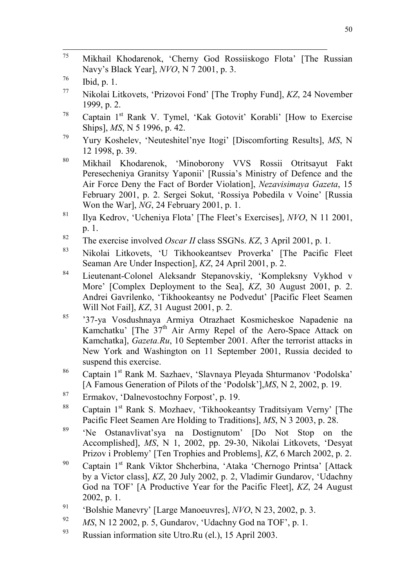- 75 75 Mikhail Khodarenok, 'Cherny God Rossiiskogo Flota' [The Russian Navy's Black Year], *NVO*, N 7 2001, p. 3.
- $^{76}$  Ibid, p. 1.
- 77 Nikolai Litkovets, 'Prizovoi Fond' [The Trophy Fund], *KZ*, 24 November 1999, p. 2.
- <sup>78</sup> Captain 1<sup>st</sup> Rank V. Tymel, 'Kak Gotovit' Korabli' [How to Exercise Ships], *MS*, N 5 1996, p. 42.
- 79 Yury Koshelev, 'Neuteshitel'nye Itogi' [Discomforting Results], *MS*, N 12 1998, p. 39.
- 80 Mikhail Khodarenok, 'Minoborony VVS Rossii Otritsayut Fakt Peresecheniya Granitsy Yaponii' [Russia's Ministry of Defence and the Air Force Deny the Fact of Border Violation], *Nezavisimaya Gazeta*, 15 February 2001, p. 2. Sergei Sokut, 'Rossiya Pobedila v Voine' [Russia Won the War], *NG*, 24 February 2001, p. 1.
- 81 Ilya Kedrov, 'Ucheniya Flota' [The Fleet's Exercises], *NVO*, N 11 2001, p. 1.
- 82 The exercise involved *Oscar II* class SSGNs. *KZ*, 3 April 2001, p. 1.
- 83 Nikolai Litkovets, 'U Tikhookeantsev Proverka' [The Pacific Fleet Seaman Are Under Inspection], *KZ*, 24 April 2001, p. 2.
- 84 Lieutenant-Colonel Aleksandr Stepanovskiy, 'Kompleksny Vykhod v More' [Complex Deployment to the Sea], *KZ*, 30 August 2001, p. 2. Andrei Gavrilenko, 'Tikhookeantsy ne Podvedut' [Pacific Fleet Seamen Will Not Fail], *KZ*, 31 August 2001, p. 2.
- 85 '37-ya Vosdushnaya Armiya Otrazhaet Kosmicheskoe Napadenie na Kamchatku' [The  $37<sup>th</sup>$  Air Army Repel of the Aero-Space Attack on Kamchatka], *Gazeta.Ru*, 10 September 2001. After the terrorist attacks in New York and Washington on 11 September 2001, Russia decided to suspend this exercise.
- 86 Captain 1st Rank M. Sazhaev, 'Slavnaya Pleyada Shturmanov 'Podolska' [A Famous Generation of Pilots of the 'Podolsk'],*MS*, N 2, 2002, p. 19.
- 87 Ermakov, 'Dalnevostochny Forpost', p. 19.
- <sup>88</sup> Captain 1<sup>st</sup> Rank S. Mozhaev, 'Tikhookeantsy Traditsiyam Verny' [The Pacific Fleet Seamen Are Holding to Traditions], *MS*, N 3 2003, p. 28.
- 89 'Ne Ostanavlivat'sya na Dostignutom' [Do Not Stop on the Accomplished], *MS*, N 1, 2002, pp. 29-30, Nikolai Litkovets, 'Desyat Prizov i Problemy' [Ten Trophies and Problems], *KZ*, 6 March 2002, p. 2.
- <sup>90</sup> Captain 1<sup>st</sup> Rank Viktor Shcherbina, 'Ataka 'Chernogo Printsa' [Attack] by a Victor class], *KZ*, 20 July 2002, p. 2, Vladimir Gundarov, 'Udachny God na TOF' [A Productive Year for the Pacific Fleet], *KZ*, 24 August 2002, p. 1.
- 91 'Bolshie Manevry' [Large Manoeuvres], *NVO*, N 23, 2002, p. 3.
- <sup>92</sup> *MS*, N 12 2002, p. 5, Gundarov, 'Udachny God na TOF', p. 1.
- 93 Russian information site Utro.Ru (el.), 15 April 2003.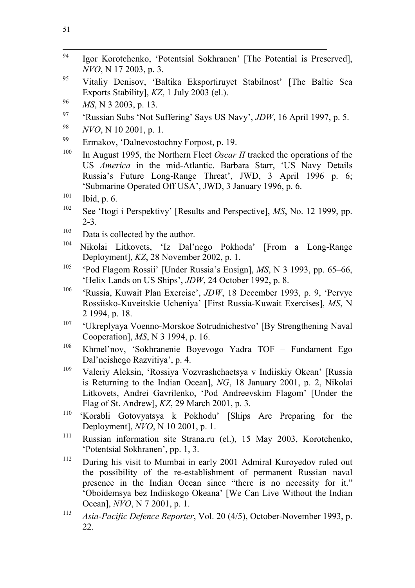- 94 Igor Korotchenko, 'Potentsial Sokhranen' [The Potential is Preserved], *NVO*, N 17 2003, p. 3.
- 95 Vitaliy Denisov, 'Baltika Eksportiruyet Stabilnost' [The Baltic Sea Exports Stability], *KZ*, 1 July 2003 (el.).
- <sup>96</sup> *MS*, N 3 2003, p. 13.
- 97 'Russian Subs 'Not Suffering' Says US Navy', *JDW*, 16 April 1997, p. 5.
- <sup>98</sup> *NVO*, N 10 2001, p. 1.
- 99 Ermakov, 'Dalnevostochny Forpost, p. 19.
- <sup>100</sup> In August 1995, the Northern Fleet *Oscar II* tracked the operations of the US *America* in the mid-Atlantic. Barbara Starr, 'US Navy Details Russia's Future Long-Range Threat', JWD, 3 April 1996 p. 6; 'Submarine Operated Off USA', JWD, 3 January 1996, p. 6.
- $101$  Ibid, p. 6.
- 102 See 'Itogi i Perspektivy' [Results and Perspective], *MS*, No. 12 1999, pp. 2-3.
- $103$  Data is collected by the author.
- 104 Nikolai Litkovets, 'Iz Dal'nego Pokhoda' [From a Long-Range Deployment], *KZ*, 28 November 2002, p. 1.
- 105 'Pod Flagom Rossii' [Under Russia's Ensign], *MS*, N 3 1993, pp. 65–66, 'Helix Lands on US Ships', *JDW*, 24 October 1992, p. 8.
- 106 'Russia, Kuwait Plan Exercise', *JDW*, 18 December 1993, p. 9, 'Pervye Rossiisko-Kuveitskie Ucheniya' [First Russia-Kuwait Exercises], *MS*, N 2 1994, p. 18.
- 107 'Ukreplyaya Voenno-Morskoe Sotrudnichestvo' [By Strengthening Naval Cooperation], *MS*, N 3 1994, p. 16.
- 108 Khmel'nov, 'Sokhranenie Boyevogo Yadra TOF Fundament Ego Dal'neishego Razvitiya', p. 4.
- 109 Valeriy Aleksin, 'Rossiya Vozvrashchaetsya v Indiiskiy Okean' [Russia is Returning to the Indian Ocean], *NG*, 18 January 2001, p. 2, Nikolai Litkovets, Andrei Gavrilenko, 'Pod Andreevskim Flagom' [Under the Flag of St. Andrew], *KZ*, 29 March 2001, p. 3.
- 110 'Korabli Gotovyatsya k Pokhodu' [Ships Are Preparing for the Deployment], *NVO*, N 10 2001, p. 1.
- 111 Russian information site Strana.ru (el.), 15 May 2003, Korotchenko, 'Potentsial Sokhranen', pp. 1, 3.
- <sup>112</sup> During his visit to Mumbai in early 2001 Admiral Kuroyedov ruled out the possibility of the re-establishment of permanent Russian naval presence in the Indian Ocean since "there is no necessity for it." 'Oboidemsya bez Indiiskogo Okeana' [We Can Live Without the Indian Ocean], *NVO*, N 7 2001, p. 1.
- <sup>113</sup> *Asia-Pacific Defence Reporter*, Vol. 20 (4/5), October-November 1993, p. 22.